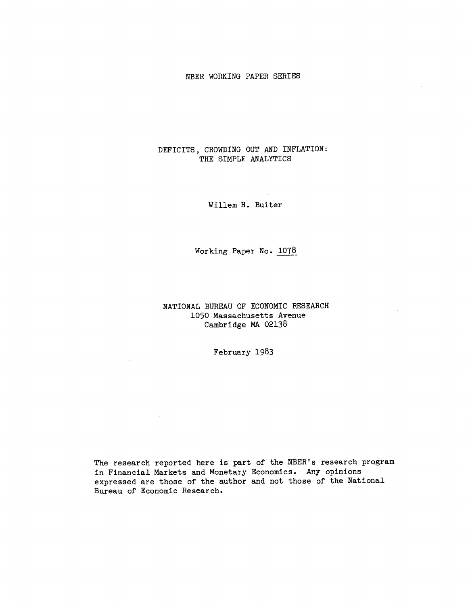### NBER WORKING PAPER SERIES

### DEFICITS, CROWDING OUT AND INFLATION: THE SIMPLE ANALYTICS

Willem H. Buiter

Working Paper No. 1078

### NATIONAL BUREAU OF ECONOMIC RESEARCH 1050 Massachusetts Avenue Cambridge MA 02138

February 1983

The research reported here is part of the NBER's research program in Financial Markets and Monetary Economics. Any opinions expressed are those of the author and not those of the National Bureau of Economic Research.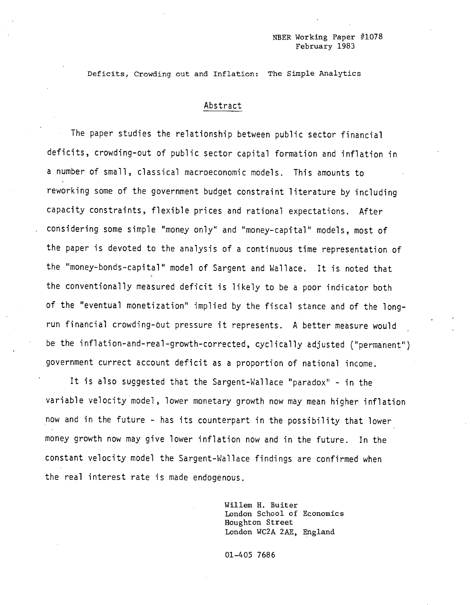#### NBER Working Paper #1078 February 1983

Deficits, Crowding out and Inflation: The Simple Analytics

### Abstract

The paper studies the relationship between public sector financial deficits, crowding-out of public sector capital formation and inflation in a number of small, classical macroeconomic models. This amounts to reworking some of the government budget constraint literature by including capacity constraints, flexible prices and rational expectations. After considering some simple "money only' and "money—capital" models, most of the paper is devoted to the analysis of a continuous time representation of the "money-bonds-capital" model of Sargent and Wallace. It is noted that the conventionally measured deficit is likely to be a poor indicator both of the "eventual monetization" implied by the fiscal stance and of the long run financial crowding-out pressure it represents. A better measure would be the inflation-and-real-growth-corrected, cyclically adjusted ("permanent") government currect account deficit as a proportion of national income.

It is also suggested that the Sargent—Wallace "paradox" - in the variable velocity model , lower monetary growth now may mean higher inflation •now and in the future — has its counterpart in the possibility that lower money growth now may give lower inflation now and in the future. In the constant velocity model the Sargent-Wallace findings are confirmed when the real interest rate is made endogenous.

> Willem H. Buiter London School of Economics Houghton Street London WC2A 2AE, England

01—405 7686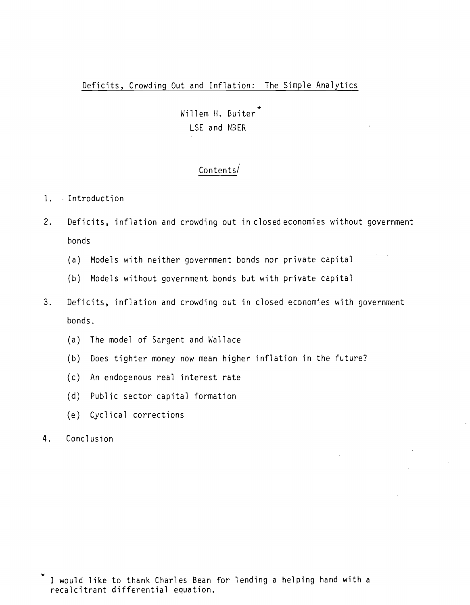## Deficits, Crowding Out and Inflation: The Simple Analytics

Willem H. Buiter<sup>7</sup> LSE and NBER

# Contents/

## 1. Introduction

- 2. Deficits, inflation and crowding out in closed economies without government bonds
	- (a) Models with neither government bonds nor private capital
	- (b) Models without government bonds but with private capital
- 3. Deficits, inflation and crowding out in closed economies with government bonds.
	- (a) The model of Sargent and Wallace
	- (b) Does tighter money now mean higher inflation in the future?
	- (c) An endogenous real interest rate
	- (d) Public sector capital formation
	- (e) Cyclical corrections
- 4. Conclusion

<sup>\*</sup> I would like to thank Charles Bean for lending a helping hand with a recalcitrant differential equation.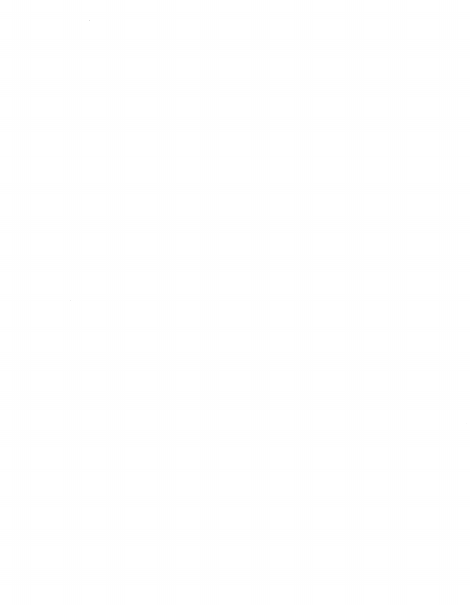$\label{eq:2.1} \mathcal{L}_{\mathcal{A}}(\mathcal{A}) = \mathcal{L}_{\mathcal{A}}(\mathcal{A}) = \mathcal{L}_{\mathcal{A}}(\mathcal{A})$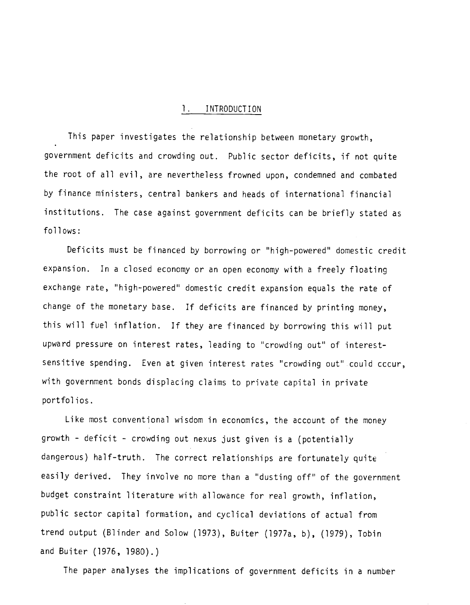### 1. INTRODUCTION

This paper investigates the relationship between monetary growth, government deficits and crowding out. Public sector deficits, if not quite the root of all evil, are nevertheless frowned upon, condemned and combated by finance ministers, central bankers and heads of international financial institutions. The case against government deficits can be briefly stated as follows:

Deficits must be financed by borrowing or "high-powered" domestic credit expansion. In a closed economy or an open economy with a freely floating exchange rate, "high-powered" domestic credit expansion equals the rate of change of the monetary base. If deficits are financed by printing money, this will fuel inflation. If they are financed by borrowing this will put upward pressure on interest rates, leading to "crowding out" of interestsensitive spending. Even at given interest rates "crowding out" could cccur, with government bonds displacing claims to private capital in private portfol ios.

Like most conventional wisdom in economics, the account of the money growth - deficit - crowding out nexus just given is a (potentially dangerous) half—truth. The correct relationships are fortunately quite easily derived. They involve no more than a "dusting off" of the government budget constraint literature with allowance for real growth, inflation, public sector capital formation, and cyclical deviations of actual from trend output (Blinder and Solow (1973), Buiter (l977a, b), (1979), Tobin and Buiter (1976, 1980).)

The paper analyses the implications of government deficits in a number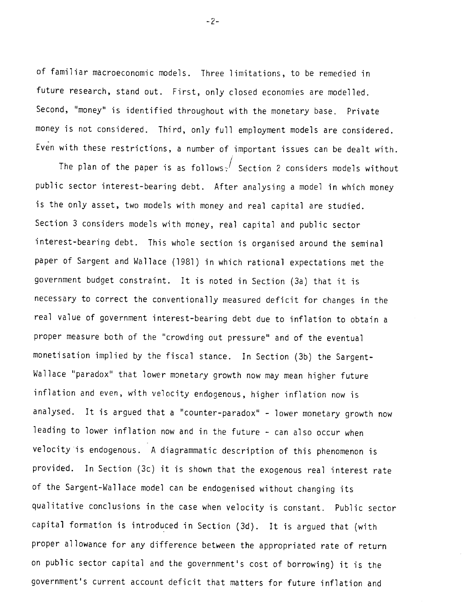of familiar macroeconomic models. Three limitations, to be remedied in future research, stand out. First, only closed economies are modelled. Second, "money" is identified throughout with the monetary base. Private money is not considered. Third, only full employment models are considered. Even with these restrictions, a number of important issues can be dealt with.

The plan of the paper is as follows; Section 2 considers models without public sector interest-bearing debt. After analysing a model in which money is the only asset, two models with money and real capital are studied. Section 3 considers models with money, real capital and public sector interest-bearing debt. This whole section is organised around the seminal paper of Sargent and Wallace (1981) in which rational expectations met the government budget constraint. It is noted in Section (3a) that it is necessary to correct the conventionally measured deficit for changes in the real value of government interest-bearing debt due to inflation to obtain a proper measure both of the "crowding out pressure" and of the eventual monetisation implied by the fiscal stance. In Section (3b) the Sargent-Wallace "paradox" that lower monetary growth now may mean higher future inflation and even, with velocity endogenous, higher inflation now is analysed. It is argued that a "counter-paradox" - lower monetary growth now leading to lower inflation now and in the future - can also occur when velocity is endogenous. A diagrammatic description of this phenomenon is provided. In Section (3c) it is shown that the exogenous real interest rate of the Sargent-Wallace model can be endogenised without changing its qualitative conclusions in the case when velocity is constant. Public sector capital formation is introduced in Section (3d). It is argued that (with proper allowance for any difference between the appropriated rate of return on public sector capital and the government's cost of borrowing) it is the government's current account deficit that matters for future inflation and

-2—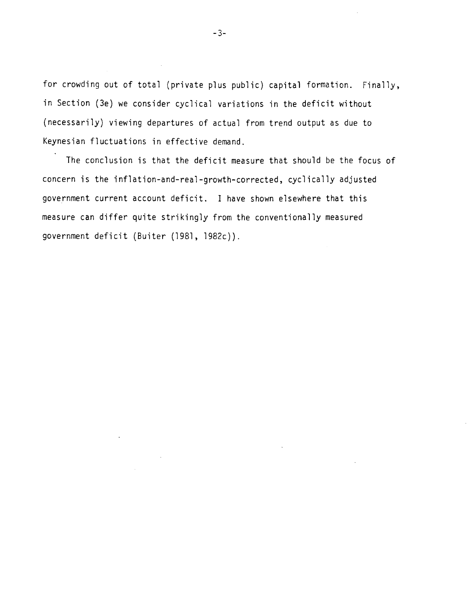for crowding out of total (private plus public) capital formation. Finally, in Section (3e) we consider cyclical variations in the deficit without (necessarily) viewing departures of actual from trend output as due to Keynesian fluctuations in effective demand.

The conclusion is that the deficit measure that should be the focus of concern is the inflation-and-real-growth—corrected, cyclically adjusted government current account deficit. I have shown elsewhere that this measure can differ quite strikingly from the conventionally measured government deficit (Buiter (1981, 1982c)).

 $\sim 10^7$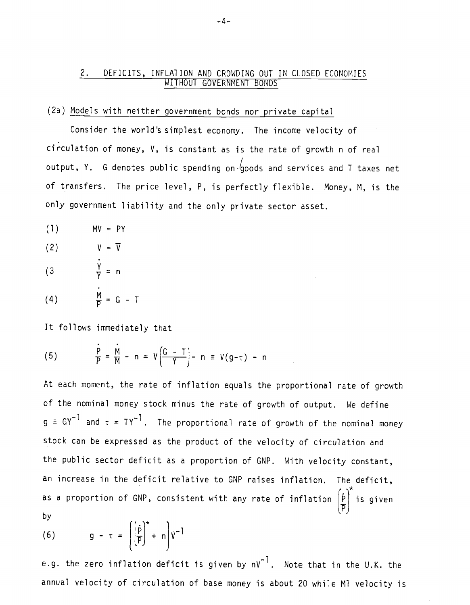## 2. DEFICITS, INFLATION AND CROWDING OUT IN CLOSED ECONOMIES WITHOUT GOVERNMENT BONDS

### (2a) Models with neither government bonds nor private capital

Consider the world's simplest economy. The income velocity of circulation of money, V, is constant as is the rate of growth n of real output, Y. G denotes public spending on-goods and services and T taxes net of transfers. The price level, P, is perfectly flexible. Money, M, is the only government liability and the only private sector asset.

$$
(1) \t MV = PY
$$

$$
(2) \tV = \overline{V}
$$

(3  $\frac{Y}{Y} = n$  $\frac{M}{D} = G - T$ (4)

It follows immediately that

(5) 
$$
\frac{p}{p} = \frac{M}{M} - n = V \left( \frac{G - T}{Y} \right) - n = V(g - \tau) - n
$$

At each moment, the rate of inflation equals the proportional rate of growth of the nominal money stock minus the rate of growth of output. We define  $g \equiv GY^{-1}$  and  $\tau = TY^{-1}$ . The proportional rate of growth of the nominal money stock can be expressed as the product of the velocity of circulation and the public sector deficit as a proportion of GNP. With velocity constant, an increase in the deficit relative to GNP raises inflation. The deficit, as a proportion of GNP, consistent with any rate of inflation  $\begin{bmatrix} \dot{\mathsf{p}} \\ \mathsf{p} \end{bmatrix}$  is given by  $(1, 1^*)$ 

(6) 
$$
g - \tau = \left( \left( \frac{\dot{p}}{p} \right)^{\star} + n \right) \dot{v}^{-1}
$$

e.g. the zero inflation deficit is given by  $nv^{-1}$ . Note that in the U.K. the annual velocity of circulation of base money is about 20 while Ml velocity is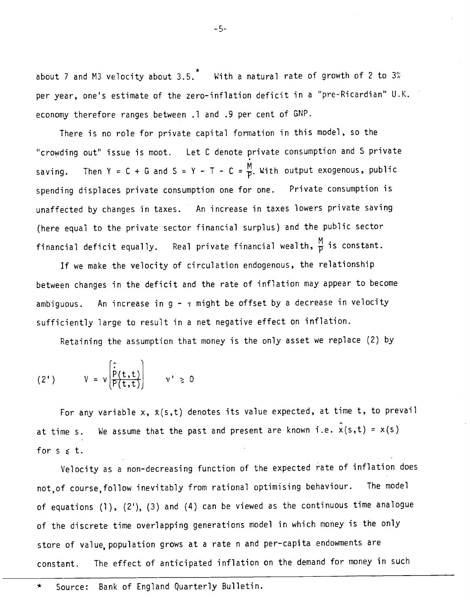about 7 and M3 velocity about 3.5.<sup>\*</sup> With a natural rate of growth of 2 to 3% per year, one's estimate of the zero-inflation deficit in a "pre-Ricardian" U.K. economy therefore ranges between .1 and .9 per cent of GNP.

There is no role for private capital formation in this model, so the "crowding out" issue is moot. Let C denote private consumption and S private saving. Then Y = C + G and S = Y - T - C =  $\frac{m}{P}$ . With output exogenous, public spending displaces private consumption one for one. Private consumption is unaffected by changes in taxes. An increase in taxes lowers private saving (here equal to the private sector financial surplus) and the public sector financial deficit equally. Real private financial wealth,  $\frac{M}{p}$  is constant.

If we make the velocity of circulation endogenous, the relationship between changes in the deficit and the rate of inflation may appear to become ambiguous. An increase in  $g - \tau$  might be offset by a decrease in velocity sufficiently large to result in a net negative effect on inflation.

Retaining the assumption that money is the only asset we replace (2) by

$$
(2') \qquad V = v \begin{pmatrix} \hat{.} \\ \hat{P}(t,t) \\ \hat{P}(t,t) \end{pmatrix} \qquad v' \ge 0
$$

For any variable  $x$ ,  $x(s,t)$  denotes its value expected, at time  $t$ , to prevail at time s. We assume that the past and present are known i.e.  $x(s,t) = x(s)$ for  $s \leq t$ . -

Velocity as a non-decreasing function of the expected rate of inflation does not, of course, follow inevitably from rational optimising behaviour. The model of equations (1), (2'), (3) and (4) can be viewed as the continuous time analogue of the discrete time overlapping generations model in which money is the only store of value, population grows at a rate n and per—capita endowments are constant. The effect of anticipated inflation on the demand for money in such

\* Source: Bank of England Quarterly Bulletin.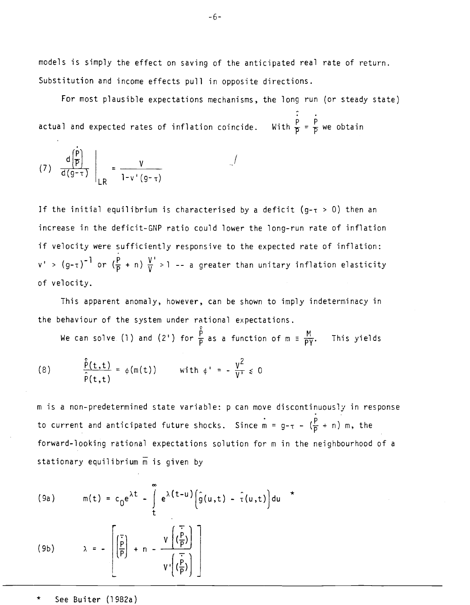models is simply the effect on saving of the anticipated real rate of return. Substitution and income effects pull in opposite directions.

For most plausible expectations mechanisms, the long run (or steady state) actual and expected rates of inflation coincide. With  $\frac{p}{p} = \frac{p}{p}$  we obtain

/

$$
(7) \quad \frac{d \begin{pmatrix} P \\ P \end{pmatrix}}{d(g-\tau)} \Bigg|_{LR} = \frac{v}{1-v'(g-\tau)}
$$

If the initial equilibrium is characterised by a deficit  $(g-\tau > 0)$  then an increase in the deficit-GNP ratio could lower the long—run rate of inflation if velocity were sufficiently responsive to the expected rate of inflation: v' >  $(g-\tau)^{-1}$  or  $(\frac{p}{p}+n)$   $\frac{V}{V}$  > 1 -- a greater than unitary inflation elasticity of velocity.

This apparent anomaly, however, can be shown to imply indeterminacy in the behaviour of the system under rational expectations.

We can solve (1) and (2') for  $\frac{\dot{p}}{p}$  as a function of  $m = \frac{M}{PY}$ . This yields

(8) 
$$
\frac{\hat{p}(t,t)}{\hat{p}(t,t)} = \phi(m(t)) \text{ with } \phi' = -\frac{v^2}{v^1} \le 0
$$

m is a non-predetermined state variable: p can move discontinuously in response to current and anticipated future shocks. Since  $\frac{1}{m}$  =  $g-\tau$  -  $(\frac{p}{p}$  + n) m, the forward-looking rational expectations solution for m in the neighbourhood of a stationary equilibrium  $\overline{m}$  is given by

(9a) 
$$
m(t) = c_0 e^{\lambda t} - \int_{t}^{\infty} e^{\lambda (t-u)} \left( \hat{g}(u,t) - \hat{\tau}(u,t) \right) du
$$
  
(9b) 
$$
\lambda = - \left[ \left( \frac{\overline{p}}{p} \right) + n - \frac{V \left( \frac{\overline{p}}{p} \right)}{V \left( \left( \frac{\overline{p}}{p} \right) \right)} \right]
$$

See Buiter (1982a)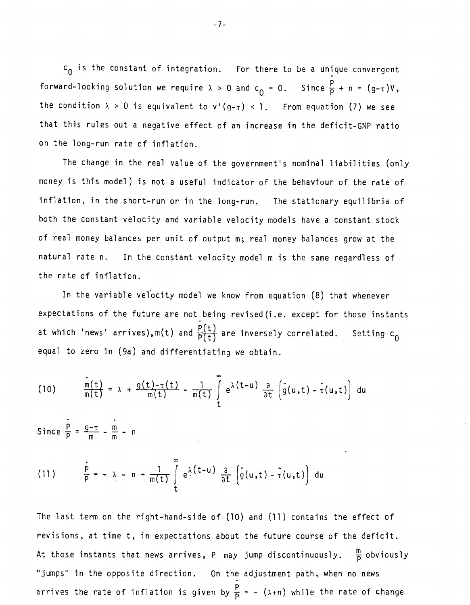$c_0$  is the constant of integration. For there to be a unique convergent forward-looking solution we require  $\lambda > 0$  and  $c_{\text{O}} = 0$ . Since  $\frac{P}{P} + n = (g - \tau)V$ , the condition  $\lambda > 0$  is equivalent to v'(g- $\tau$ ) < 1. From equation (7) we see that this rules out a negative effect of an increase in the deficit-GNP ratio on the long-run rate of inflation.

The change in. the real value of the government's nominal liabilities (only money is this model) is not a useful indicator of the behaviour of the rate of inflation, in the short-run or in the long-run. The stationary equilibria of both the constant velocity and variable velocity models have a constant stock of real money balances per unit of output m; real money balances grow at the natural rate n. In the constant velocity model m is the same regardless of the rate of inflation.

In the variable velocity model we know from equation (8) that whenever expectations of the future are not being revised(i.e. except for those instants at which 'news' arrives),m(t) and  $\frac{P(t)}{P(t)}$  are inversely correlated. Setting  $c_0$ equal to zero in (9a) and differentiating we obtain.

(10) 
$$
\frac{\dot{m}(t)}{m(t)} = \lambda + \frac{g(t)-r(t)}{m(t)} - \frac{1}{m(t)} \int_{t}^{\infty} e^{\lambda(t-u)} \frac{\partial}{\partial t} \left( \hat{g}(u,t) - \hat{r}(u,t) \right) du
$$

Since  $\frac{P}{P} = \frac{Q - \tau}{m} - \frac{m}{m} - n$ 

(11) 
$$
\frac{p}{p} = -\lambda - n + \frac{1}{m(t)} \int_{t}^{\infty} e^{\lambda(t-u)} \frac{\partial}{\partial t} \left( \hat{g}(u,t) - \hat{\tau}(u,t) \right) du
$$

The last term on the right-hand—side of (10) and (11) contains the effect of revisions, at time t, in expectations about the future course of the deficit. At those instants that news arrives, P may jump discontinuously.  $\frac{m}{D}$  obviously "jumps" in the opposite direction. On the adjustment path, when no news arrives the rate of inflation is given by  $\frac{p}{p}$  = - ( $\lambda$ +n) while the rate of change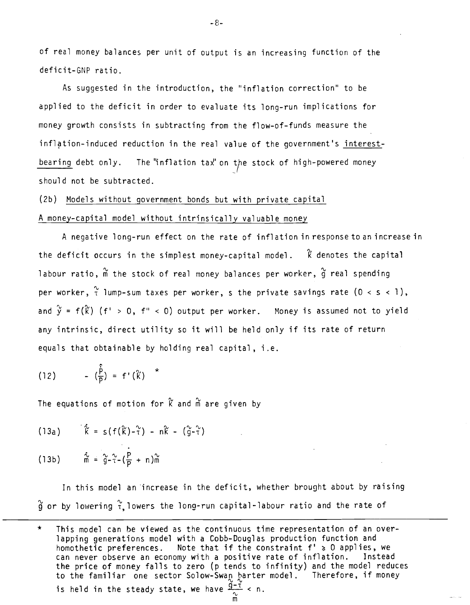of real money balances per unit of output is an increasing function of the deficit-GNP ratio.

-8-

As suggested in the introduction, the "inflation correction" to be applied to the deficit in order to evaluate its long-run implications for money growth consists in subtracting from the flow-of-funds measure the inflation—induced reduction in the real value of the government's interestbearing debt only. The "inflation tax" on the stock of high-powered money should not be subtracted.

# (2b) Models without government bonds but with private capital A money-capital model without intrinsically valuable money

A negative long-run effect on the rate of inflation in response to an increase in the deficit occurs in the simplest money-capital model.  $\hat{k}$  denotes the capital labour ratio,  $\stackrel{\sim}{m}$  the stock of real money balances per worker,  $\stackrel{\sim}{g}$  real spending per worker,  $\frac{\gamma}{1}$  lump-sum taxes per worker, s the private savings rate  $(0 < s < 1)$ , and  $\hat{y} = f(\hat{k})$  (f' > 0, f" < 0) output per worker. Money is assumed not to yield any intrinsic, direct utility so it will be held only if its rate of return equals that obtainable by holding real capital, i.e.

(12) 
$$
-\left(\frac{\hat{P}}{P}\right) = f'(\hat{k})
$$
 \*

The equations of motion for  $\hat{k}$  and  $\hat{m}$  are given by

(13a) 
$$
\hat{k} = s(f(\hat{k}) - \hat{\tau}) - n\hat{k} - (\hat{g} - \hat{\tau})
$$

(13b)  $\tilde{m} = \tilde{g} - \tilde{\tau} - (\frac{P}{P} + n)\tilde{m}$ 

In this model an increase in the deficit, whether brought about by raising  $\hat{g}$  or by lowering  $\hat{\tau}$ , lowers the long-run capital-labour ratio and the rate of

\* This model can be viewed as the continuous time representation of an overlapping generations model with a Cobb-Douglas production function and homothetic preferences. Note that if the constraint  $f' \ge 0$  applies, we can never observe an economy with a positive rate of inflation. Instead the price of money falls to zero (p tends to infinity) and the model reduces to the familiar one sector Solow-Swan barter model. Therefore, if money to the familiar one sectors.<br>is held in the steady state, we have  $\frac{\tilde{g}-\tilde{\tau}}{\tilde{m}} < n$ .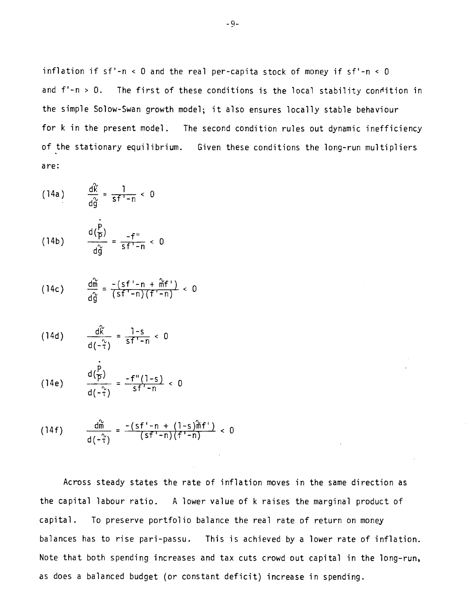inflation if sf'-n < <sup>0</sup> and the real per-capita stock of money if sf'-n < <sup>0</sup> and  $f'-n > 0$ . The first of these conditions is the local stability condition in the simple Solow-Swan growth model; it also ensures locally stable behaviour for k in the present model. The second condition rules out dynamic inefficiency of the stationary equilibrium. Given these conditions the long-run multipliers are:

(14a) 
$$
\frac{d\hat{k}}{d\hat{g}} = \frac{1}{sf - n} < 0
$$

(14b) 
$$
\frac{d(\frac{P}{P})}{d\hat{g}} = \frac{-f''}{s f' - n} < 0
$$

(14c) 
$$
\frac{d\widetilde{m}}{d\widetilde{g}} = \frac{-(sf'-n + \widetilde{m}f')}{(sf'-n)(f'-n)} < 0
$$

(14d) 
$$
\frac{d\vec{k}}{d(-\tau)} = \frac{1-s}{sf'-n} < 0
$$

 $\mathbf{r}$ 

(14e) 
$$
\frac{d(\frac{P}{P})}{d(-\frac{v}{T})} = \frac{-f''(1-s)}{sf'-n} < 0
$$

(14f) 
$$
\frac{d\mathfrak{m}}{d(-\tau)} = \frac{-(sf'-n + (1-s)\mathfrak{m}f')}{(sf'-n)(f'-n)} < 0
$$

Across steady states the rate of inflation moves in the same direction as the capital labour ratio. A lower value of k raises the marginal product of capital. To preserve portfolio balance the real rate of return on money balances has to rise pari—passu. This is achieved by a lower rate of inflation. Note that both spending increases and tax cuts crowd out capital in the long-run, as does a balanced budget (or constant deficit) increase in spending.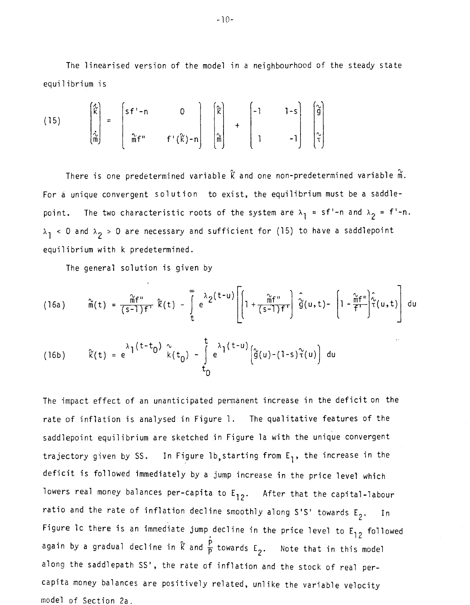The linearised version of the model in a neighbourhood of the steady state equilibrium is

(15) 
$$
\begin{pmatrix} \hat{k} \\ \hat{k} \\ \hat{m} \end{pmatrix} = \begin{pmatrix} sf' - n & 0 \\ \hat{m}f'' & f'(\hat{k}) - n \end{pmatrix} \begin{pmatrix} \hat{k} \\ \hat{m} \end{pmatrix} + \begin{pmatrix} -1 & 1-s \\ 1 & -1 \end{pmatrix} \begin{pmatrix} \hat{g} \\ \hat{g} \\ \hat{\tau} \end{pmatrix}
$$

There is one predetermined variable  $\hat{k}$  and one non-predetermined variable  $\hat{m}$ . For a unique convergent solution to exist, the equilibrium must be a saddlepoint. The two characteristic roots of the system are  $\lambda_1 = sf'-n$  and  $\lambda_2 = f'-n$ .  $\lambda_1$  < 0 and  $\lambda_2$  > 0 are necessary and sufficient for (15) to have a saddlepoint equilibrium with k predetermined.

The general solution is given by

(16a) 
$$
\tilde{m}(t) = \frac{\tilde{m}f''}{(s-1)f^+}\tilde{k}(t) - \int_t^{\infty} e^{2(t-u)} \left[ \left[ 1 + \frac{\tilde{m}f''}{(s-1)f^+} \right] \hat{g}(u,t) - \left[ 1 - \frac{\tilde{m}f''}{f^+} \right] \hat{\tau}(u,t) \right] du
$$

(16b) 
$$
\hat{k}(t) = e^{\lambda} \frac{1}{t-t_0} \hat{k}(t_0) - \int_{t_0}^{t} e^{\lambda} \frac{1}{t} (t-u) \left[ \hat{g}(u) - (1-s) \hat{\tau}(u) \right] du
$$

The impact effect of an unanticipated permanent increase in the deficit on the rate of inflation is analysed in Figure 1. The qualitative features of the saddlepoint equilibrium are sketched in Figure la with the unique convergent trajectory given by SS. In Figure 1b, starting from  $E_1$ , the increase in the deficit is followed immediately by a jump increase in the price level which lowers real money balances per-capita to E<sub>12</sub>. After that the capital-labour ratio and the rate of inflation decline smoothly along S'S' towards  $E_2$ .  $-2$ .  $\cdots$ In rigure ic there is an immediate jump decline in the price level to E<sub>l2</sub> followed again by a gradual decline in  $\overset{\sim}{{\mathsf{K}}}$  and  $\frac{{\mathsf{P}}}{\mathsf{P}}$  towards  ${\mathsf{E}}_2.$  Note that in this model along the saddlepath SS', the rate of inflation and the stock of real percapita money balances are positively related, unlike the variable velocity model of Section 2a.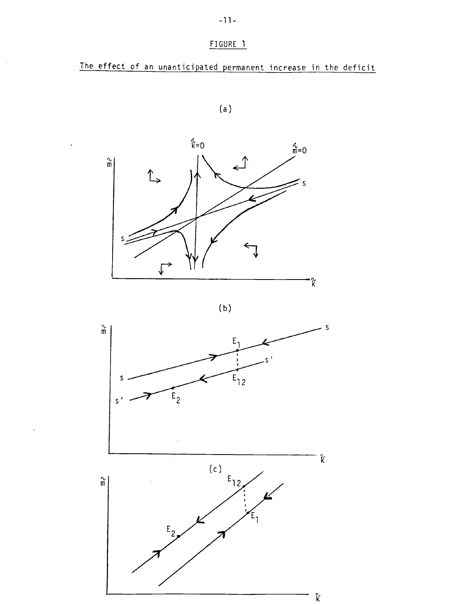# FIGURE 1

The effect of an unanticipated permanent increase in the deficit



$$
(b) \quad \blacksquare
$$



(a)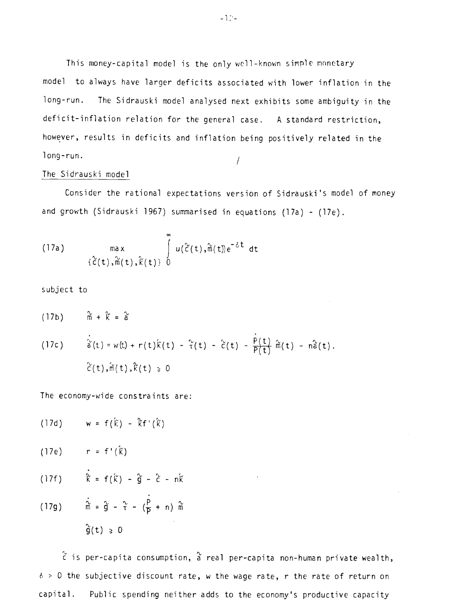This money-capital model is the only well-known simnic monetary model to always have larger deficits associated with lower inflation in the long-run. The Sidrauski model analysed next exhibits some ambiguity in the deficit-inflation relation for the general case. A standard restriction, however, results in deficits and inflation being positively related in the long-run. /

### The Sidrauski model

Consider the rational expectations version of Sidrauski's model of money and growth (Sidrauski 1967) summarised in equations (17a) - (17e).

(17a) 
$$
\begin{array}{ccc}\n& \text{max} \\
& \text{if } \hat{c}(t), \hat{m}(t), \hat{k}(t)\text{ is } 0\n\end{array}
$$

subject to

$$
(17b) \qquad \widetilde{m} + \widetilde{k} = \widetilde{a}
$$

(17c) 
$$
\dot{\tilde{a}}(t) = w(t) + r(t)\tilde{k}(t) - \tilde{\tau}(t) - \tilde{c}(t) - \frac{\dot{P}(t)}{P(t)}\tilde{m}(t) - n\tilde{a}(t).
$$
  
\n $\tilde{c}(t), \tilde{m}(t), \tilde{k}(t) \ge 0$ 

The economy-wide constraints are:

$$
(17d) \qquad w = f(\hat{k}) - \hat{k}f'(\hat{k})
$$

(17e)  $r = f'(\hat{k})$ 

(17f) 
$$
\dot{\hat{k}} = f(\hat{k}) - \hat{g} - \hat{c} - n\hat{k}
$$

(17g) 
$$
\dot{\hat{m}} = \hat{g} - \hat{\tau} - (\frac{p}{p} + n) \hat{\hat{m}}
$$

$$
\breve{g}(t) \geq 0
$$

 $\tilde{c}$  is per-capita consumption,  $\tilde{a}$  real per-capita non-human private wealth,  $6 > 0$  the subjective discount rate, w the wage rate, r the rate of return on capital. Public spending neither adds to the economy's productive capacity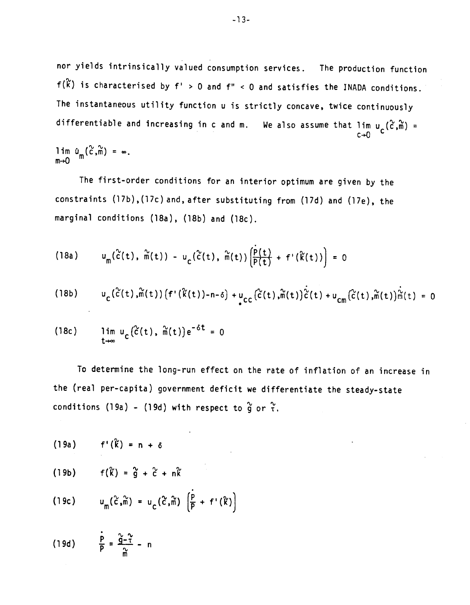nor yields intrinsically valued consumption services. The production function  $f(\hat{k})$  is characterised by  $f' > 0$  and  $f'' < 0$  and satisfies the INADA conditions. The instantaneous utility function u is strictly concave, twice continuously differentiable and increasing in c and m. We also assume that  $\lim_{c\to 0} u_c(\tilde{c}, \tilde{m}) =$ lim ù (č,m̃) = ∞.<br>m→O

The first-order conditions for an interior optimum are given by the constraints (17b),(17c) and, after substituting from (17d) and (17e), the marginal conditions (18a), (18b) and (18c).

(18a) 
$$
u_m(\tilde{c}(t), \tilde{m}(t)) - u_c(\tilde{c}(t), \tilde{m}(t)) \left( \frac{p(t)}{p(t)} + f'(\tilde{k}(t)) \right) = 0
$$

(18b) 
$$
u_{c}(\tilde{c}(t), \tilde{m}(t)) (f'(\tilde{k}(t)) - n - \delta) + u_{c}(\tilde{c}(t), \tilde{m}(t)) \dot{\tilde{c}}(t) + u_{c}(\tilde{c}(t), \tilde{m}(t)) \dot{\tilde{m}}(t) = 0
$$

(18c) 
$$
\lim_{t\to\infty} u_c(\tilde{c}(t), \tilde{m}(t))e^{-\delta t} = 0
$$

To determine the long-run effect on the rate of inflation of an increase in the (real per-capita) government deficit we differentiate the steady-state conditions (19a) - (19d) with respect to  $\tilde{g}$  or  $\tilde{\tau}$ .

$$
(19a) \qquad f'(\hat{k}) = n + \delta
$$

(19b)  $f(\hat{k}) = \hat{g} + \hat{c} + n\hat{k}$ 

(19c) 
$$
u_m(\tilde{c}, \tilde{m}) = u_c(\tilde{c}, \tilde{m}) \left( \frac{p}{p} + f'(\tilde{k}) \right)
$$

$$
(19d) \qquad \frac{p}{p} = \frac{\tilde{q}-\tilde{\tau}}{\tilde{m}} - n
$$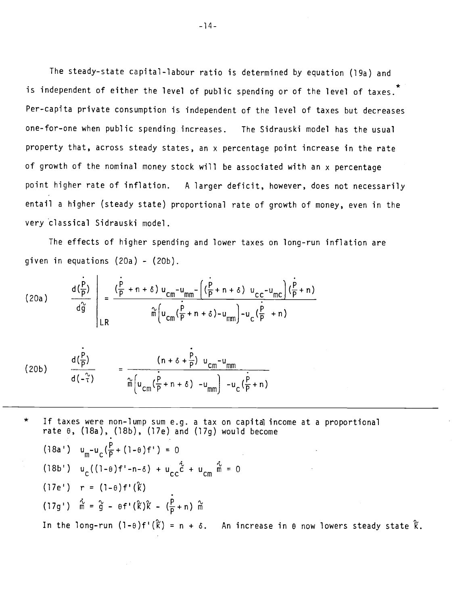The steady—state capital-labour ratio is determined by equation (19a) and is independent of either the level of public spending or of the level of taxes. Per-capita private consumption is independent of the level of taxes but decreases one-for—one when public spending increases. The Sidrauski model has the usual property that, across steady states, an x percentage point increase in the rate of growth of the nominal money stock will be associated with an x percentage point higher rate of inflation. A larger deficit, however, does not necessarily entail a higher (steady state) proportional rate of growth of money, even in the very classical Sidrauski model.

The effects of higher spending and lower taxes on long-run inflation are given in equations (20a) — (20b).

(20a) 
$$
\frac{d(\frac{\dot{P}}{P})}{d\frac{\dot{q}}{P}} = \frac{(\frac{\dot{P}}{P} + n + \delta) u_{cm} - u_{mm} - ((\frac{\dot{P}}{P} + n + \delta) u_{cc} - u_{mc}) (\frac{\dot{P}}{P} + n)}{\hat{m} (u_{cm} (\frac{\dot{P}}{P} + n + \delta) - u_{mm}) - u_{c} (\frac{\dot{P}}{P} + n)}
$$

(20b) 
$$
\frac{d(\frac{p}{p})}{d(-\tilde{\tau})} = \frac{(n+\delta+\frac{p}{p}) u_{cm} - u_{mm}}{\tilde{m} \left(u_{cm}(\frac{p}{p}+n+\delta) - u_{mm}\right) - u_{c}(\frac{p}{p}+n)}
$$

If taxes were non-lump sum e.g. a tax on capital income at a proportional rate e, (18a), (18b), (17e) and (17g) would become  $(18a')$  u<sub>m</sub>-u<sub>c</sub>( $\frac{p}{p}$ +(1- $\theta$ )f') = 0 (18b')  $u_c((1-\theta)f'$ -n-δ) +  $u_{cc}c^t$  +  $u_{cm}$  m = 0  $(17e^t)$  r =  $(1-e) f'(k)$  $(17g')$   $\tilde{m} = \tilde{g} - \theta f'(\tilde{k})\tilde{k} - (\frac{p}{p} + n) \tilde{m}$ In the long-run  $(1-\theta) f'(\tilde{k}) = n + \delta$ . An increase in  $\theta$  now lowers steady state  $\tilde{k}$ .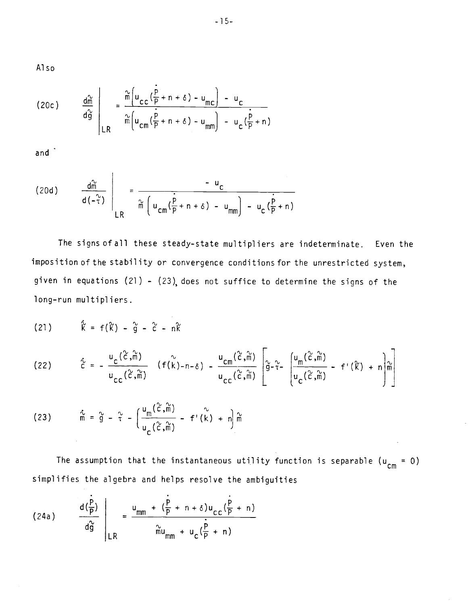Al so

$$
(20c) \qquad \frac{d\stackrel{\sim}{m}}{d\stackrel{\sim}{g}}\Bigg|_{LR} = \frac{\stackrel{\sim}{m}\left(u_{cc}\left(\frac{p}{p}+n+\delta\right)-u_{mc}\right)-u_c}{\stackrel{\sim}{m}\left(u_{cm}\left(\frac{p}{p}+n+\delta\right)-u_{mm}\right)-u_c\left(\frac{p}{p}+n\right)}
$$

and

$$
(20d) \qquad \frac{d\widetilde{m}}{d(-\widetilde{\tau})}\Bigg|_{LR} = \frac{-u_c}{\widetilde{m}\left(u_{cm}(\frac{\dot{p}}{p}+n+\delta)-u_{mm}\right)-u_c(\frac{\dot{p}}{p}+n)}
$$

The signs of all these steady-state multipliers are indeterminate. Even the imposition of the stability or convergence conditions for the unrestricted system, given in equations  $(21)$  -  $(23)$ , does not suffice to determine the signs of the long—run multipliers.

(21) 
$$
\hat{k} = f(\hat{k}) - \hat{g} - \hat{c} - n\hat{k}
$$

(22) 
$$
\dot{\tilde{c}} = -\frac{u_{c}(\tilde{c}, \tilde{m})}{u_{cc}(\tilde{c}, \tilde{m})} \left( f(\tilde{k}) - n - \delta \right) - \frac{u_{cm}(\tilde{c}, \tilde{m})}{u_{cc}(\tilde{c}, \tilde{m})} \left[ \tilde{g} - \tilde{\tau} - \left( \frac{u_{m}(\tilde{c}, \tilde{m})}{u_{c}(\tilde{c}, \tilde{m})} - f'(\tilde{k}) + n \right) \tilde{m} \right]
$$

(23) 
$$
\hat{\pi} = \hat{g} - \hat{\tau} - \left(\frac{u_m(\hat{c}, \hat{\pi})}{u_c(\hat{c}, \hat{\pi})} - f'(\hat{k}) + \eta\right)\hat{\pi}
$$

The assumption that the instantaneous utility function is separable  $(u_{cm} = 0)$ simplifies the algebra and helps resolve the ambiguities

(24a) 
$$
\frac{d(\frac{\dot{P}}{P})}{d\hat{g}}\Bigg|_{LR} = \frac{u_{mm} + (\frac{\dot{P}}{P} + n + \delta)u_{cc}(\frac{\dot{P}}{P} + n)}{\tilde{m}u_{mm} + u_c(\frac{\dot{P}}{P} + n)}
$$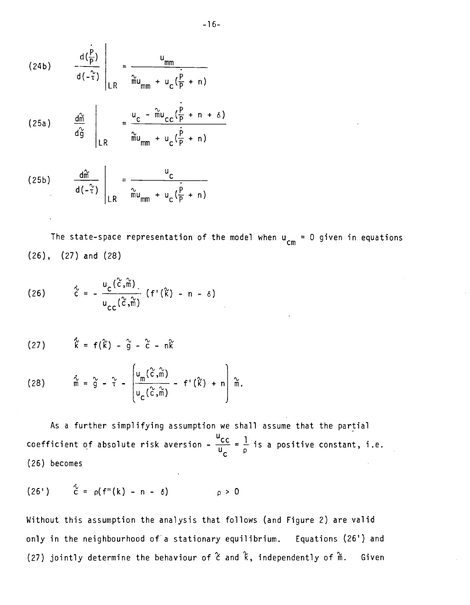(24b) 
$$
\frac{d(\frac{p}{p})}{d(-\tilde{\tau})}\Bigg|_{LR} = \frac{u_{mm}}{\tilde{m}u_{mm} + u_{c}(\frac{p}{p} + n)}
$$

$$
(25a) \qquad \frac{d\widetilde{m}}{d\widetilde{g}}\Bigg|_{LR} = \frac{u_{c} - \widetilde{m}u_{cc}(\frac{p}{p} + n + \delta)}{\widetilde{m}u_{mm} + u_{c}(\frac{\dot{p}}{p} + n)}
$$

$$
(25b) \qquad \frac{d\widetilde{m}}{d(-\widetilde{\tau})}\Bigg|_{LR} = \frac{u_c}{\widetilde{m}u_{mm} + u_c(\frac{\dot{p}}{\dot{p}} + n)}
$$

The state-space representation of the model when  $u_{cm} = 0$  given in equations (26), (27) and (28)

$$
(26) \qquad \dot{\tilde{c}} = -\frac{u_{c}(\tilde{c},\tilde{m})}{u_{cc}(\tilde{c},\tilde{m})} \left(f'(\tilde{k}) - n - \delta\right)
$$

(27) 
$$
\hat{k} = f(\hat{k}) - \hat{g} - \hat{c} - n\hat{k}
$$

(28) 
$$
\dot{\hat{m}} = \hat{g} - \tilde{\tau} - \left[ \frac{u_m(\tilde{c}, \hat{\tilde{m}})}{u_c(\tilde{c}, \tilde{\tilde{m}})} - f'(\tilde{k}) + n \right] \tilde{\tilde{m}}.
$$

As a further simplifying assumption we shall assume that the partial coefficient of absolute risk aversion -  $\frac{u_{cc}}{u_c} = \frac{1}{\rho}$  is a positive constant, i.e. (26) becomes

$$
(26') \qquad \tilde{c} = \rho(f''(k) - n - \delta) \qquad \qquad \rho > 0
$$

Without this assumption the analysis that follows (and Figure 2) are valid only in the neighbourhood of a stationary equilibrium. Equations (26') and (27) jointly determine the behaviour of  $\tilde{c}$  and  $\tilde{k}$ , independently of  $\tilde{m}$ . Given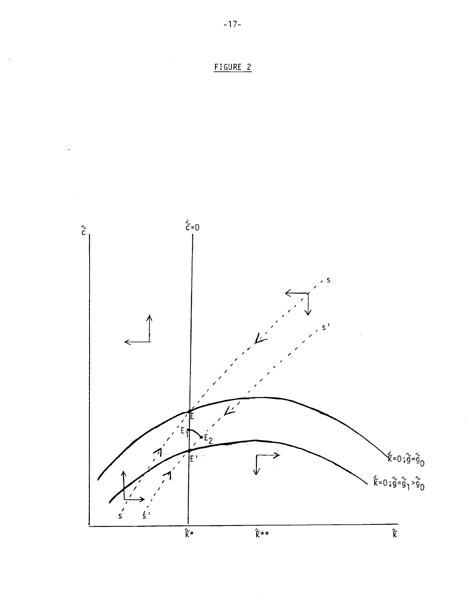

 $\mathcal{L}_{\text{max}}$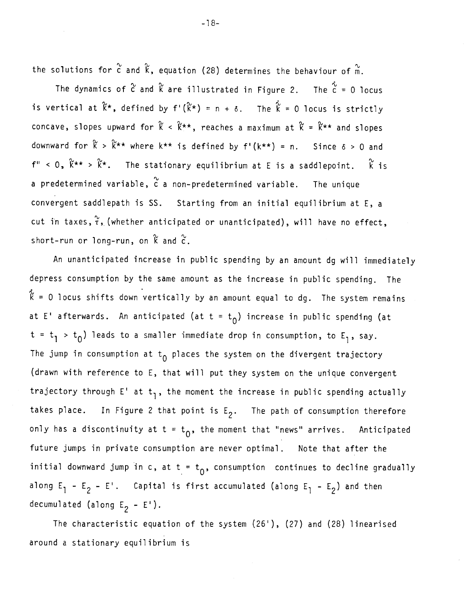the solutions for  $\alpha$  and  $\beta$ , equation (28) determines the behaviour of  $\alpha$ .

The dynamics of  $\tilde{c}$  and  $\tilde{k}$  are illustrated in Figure 2. The  $\tilde{c}$  = 0 locus is vertical at  $\hat{k}$ \*, defined by  $f'(\hat{k}$ \*) = n +  $\delta$ . The  $\hat{k}$  = 0 locus is strictly concave, slopes upward for  $\hat{k}$  <  $\hat{k}$ \*\*, reaches a maximum at  $\hat{k}$  =  $\hat{k}$ \*\* and slopes downward for  $\hat{k} > \hat{k}^{**}$  where  $k^{**}$  is defined by  $f'(k^{**}) = n$ . Since  $\delta > 0$  and  $f''$  < 0,  $\hat{k}**$  >  $\hat{k}*$ . The stationary equilibrium at E is a saddlepoint.  $\hat{k}$  is a predetermined variable,  $\stackrel{\sim}{c}$  a non-predetermined variable. The unique convergent saddlepath is SS. Starting from an initial equilibrium at E, a cut in taxes,  $\overset{\sim}{{\mathfrak{r}}}$ , (whether anticipated or unanticipated), will have no effect, short-run or long-run, on  $\tilde{k}$  and  $\tilde{c}$ .

An unanticipated increase in public spending by an amount dg will immediately depress consumption by the same amount as the increase in public spending. The  $\hat{k}$  = 0 locus shifts down vertically by an amount equal to dg. The system remains at E' afterwards. An anticipated (at  $t = t_0$ ) increase in public spending (at  $t = t_1 > t_0$ ) leads to a smaller immediate drop in consumption, to E<sub>1</sub>, say. The jump in consumption at  $t_0$  places the system on the divergent trajectory (drawn with reference to E, that will put they system on the unique convergent trajectory through  $E'$  at  $t_1$ , the moment the increase in public spending actually takes place. In Figure 2 that point is  $E_2$ . The path of consumption therefore only has a discontinuity at t =  $t_0$ , the moment that "news" arrives. Anticipated future jumps in private consumption are never optimal. Note that after the initial downward jump in c, at t =  $t_0$ , consumption continues to decline gradually along  $E_1 - E_2 - E'$ . Capital is first accumulated (along  $E_1 - E_2$ ) and then decumulated (along  $E_2 - E'$ ).

The characteristic equation of the system (26'), (27) and (28) linearised around a stationary equilibrium is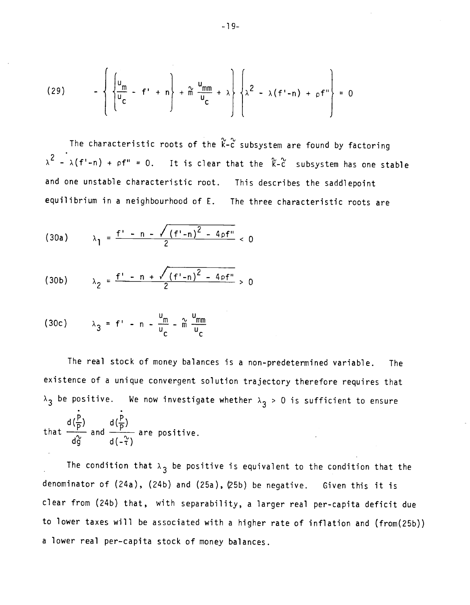(29) 
$$
-\left\{\left\{\frac{u_m}{u_c} - f' + n\right\} + \tilde{m} \frac{u_{mm}}{u_c} + \lambda\right\} \left\{\lambda^2 - \lambda (f' - n) + \rho f''\right\} = 0
$$

The characteristic roots of the  $\widetilde{k}$ -C subsystem are found by factoring  $\lambda^2$  -  $\lambda(f'-n)$  + pf" = 0. It is clear that the  $\kappa^2$  subsystem has one stable and one unstable characteristic root. This describes the saddlepoint equilibrium in a neighbourhood of E. The three characteristic roots are

$$
(30a) \qquad \lambda_1 = \frac{f' - n - \sqrt{(f'-n)^2 - 4\rho f''}}{2} < 0
$$

$$
(30b) \qquad \lambda_2 = \frac{f' - n + \sqrt{(f'-n)^2 - 4 \rho f''}}{2} > 0
$$

$$
(30c) \qquad \lambda_3 = f' - n - \frac{u_m}{u_c} - \tilde{m} \frac{u_{mm}}{u_c}
$$

The real stock of money balances is a non-predetermined variable. The existence of a unique convergent solution trajectory therefore requires that  $\lambda_3$  be positive. We now investigate whether  $\lambda_3 > 0$  is sufficient to ensure

that 
$$
\frac{d(\frac{P}{P})}{d\hat{g}}
$$
 and  $\frac{d(\frac{P}{P})}{d(-\hat{\tau})}$  are positive.

The condition that  $\lambda_3$  be positive is equivalent to the condition that the denominator of (24a), (24b) and (25a), (25b) be negative. Given this it is clear from (24b) that, with separability, a larger real per-capita deficit due to lower taxes will be associated with a higher rate of inflation and (from(25b)) a lower real per—capita stock of money balances.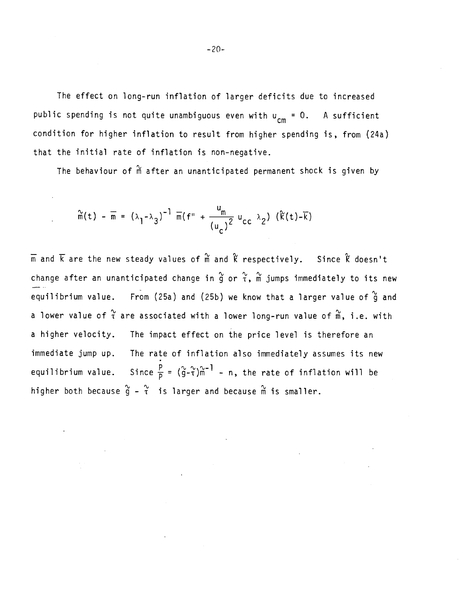The effect on long-run inflation of larger deficits due to increased public spending is not quite unambiguous even with  $u_{cm} = 0$ . A sufficient condition for higher inflation to result from higher spending is, from (24a) that the initial rate of inflation is non-negative.

The behaviour of  $\stackrel{\sim}{m}$  after an unanticipated permanent shock is given by

$$
\tilde{m}(t) - \overline{m} = (\lambda_1 - \lambda_3)^{-1} \overline{m}(f'' + \frac{u_m}{(u_c)^2} u_{cc} \lambda_2) (\tilde{k}(t) - \overline{k})
$$

 $\overline{m}$  and  $\overline{k}$  are the new steady values of  $\stackrel{\sim}{m}$  and  $\stackrel{\sim}{k}$  respectively. Since  $\stackrel{\sim}{k}$  doesn't change after an unanticipated change in  $\frac{\alpha}{9}$  or  $\frac{\alpha}{1}$ ,  $\frac{\alpha}{10}$  jumps immediately to its new equilibrium value. From (25a) and (25b) we know that a larger value of  $\stackrel{\sim}{9}$  and a lower value of  $\hat{\tau}$  are associated with a lower long-run value of  $\hat{\tilde{\mathfrak{m}}}$ , i.e. with a higher velocity. The impact effect on the price level is therefore an immediate jump up. The rate of inflation also immediately assumes its new equilibrium value. Since  $\frac{p}{p} = (\frac{\gamma}{9} - \frac{\gamma}{1})m - 1$  - n, the rate of inflation will be higher both because  $\hat{g}$  -  $\hat{\tau}$  is larger and because  $\hat{m}$  is smaller.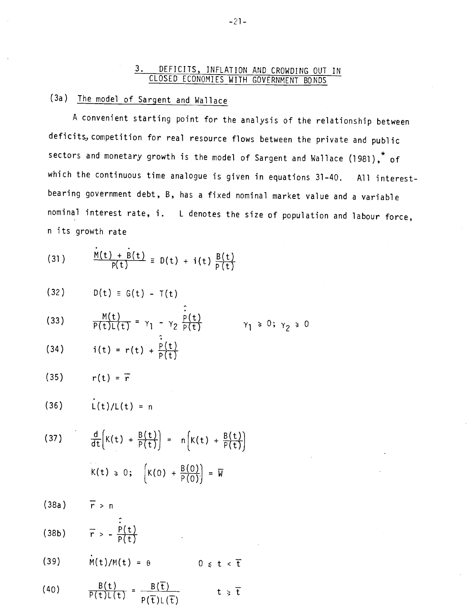## 3. DEFICITS, INFLATION AND CROWDING OUT IN CLOSED ECONOMIES WITH GOVERNMENT BONDS

# (3a) The model of Sargent and Wallace

A convenient starting point for the analysis of the relationship between deficits, competition for real resource flows between the private and public sectors and monetary growth is the model of Sargent and Wallace (1981),  $*$  of which the continuous time analogue is given in equations 31-40. All interestbearing government debt, B, has a fixed nominal market value and a variable nominal interest rate, i. L denotes the size of population and labour force, n its growth rate

(31) 
$$
\frac{M(t) + B(t)}{P(t)} = D(t) + i(t) \frac{B(t)}{P(t)}
$$

$$
(32) \qquad D(t) \equiv G(t) - T(t)
$$

(33) 
$$
\frac{M(t)}{P(t)L(t)} = \gamma_1 - \gamma_2 \frac{\hat{P}(t)}{P(t)} \qquad \gamma_1 \ge 0; \gamma_2 \ge 0
$$

(34) 
$$
i(t) = r(t) + \frac{p(t)}{p(t)}
$$

$$
(35) \qquad \qquad r(t) = \overline{r}
$$

$$
(36) \qquad \dot{L}(t)/L(t) = n
$$

(37) 
$$
\frac{d}{dt} \left[ K(t) + \frac{B(t)}{P(t)} \right] = n \left[ K(t) + \frac{B(t)}{P(t)} \right]
$$

$$
K(t) \ge 0; \quad \left[ K(0) + \frac{B(0)}{P(0)} \right] = \overline{W}
$$

(38a) 
$$
\overline{r} > n
$$
  
\n(38b)  $\overline{r} > -\frac{\hat{p}(t)}{p(t)}$   
\n(39)  $\dot{M}(t)/M(t) = \theta$  0  $\epsilon$  t  $\overline{t}$ 

(40) 
$$
\frac{B(t)}{P(t)L(t)} = \frac{B(\overline{t})}{P(\overline{t})L(\overline{t})} \qquad t \geq \overline{t}
$$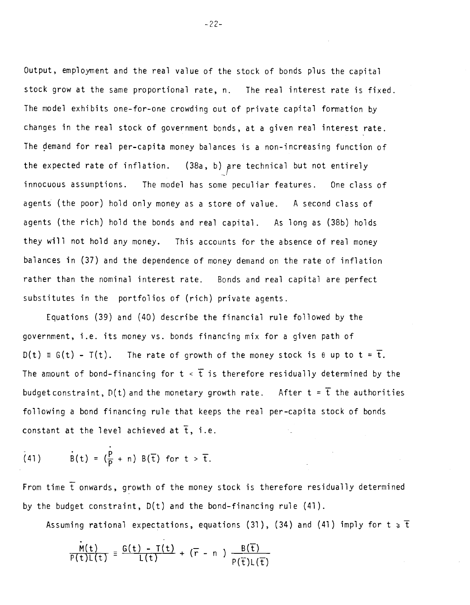Output, employment and the real value of the stock of bonds plus the capital stock grow at the same proportional rate, n. The real interest rate is fixed. The model exhibits one-for-one crowding out of private capital formation by changes in the real stock of government bonds, at a given real interest rate. The demand for real per-capita money balances is a non-increasing function of the expected rate of inflation. (38a, b) are technica technical but not entirely innocuous assumptions. The model has some peculiar features. One class of agents (the poor) hold only money as a store of value. A second class of agents (the rich) hold the bonds and real capital. As long as (38b) holds they will not hold any money. This accounts for the absence of real money balances in (37) and the dependence of money demand on the rate of inflation rather than the nominal interest rate. Bonds and real capital are perfect substitutes in the portfolios of (rich) private agents.

Equations (39) and (40) describe the financial rule followed by the government, i.e. its money vs. bonds financing mix for a given path of  $D(t) \equiv G(t) - T(t)$ . The rate of growth of the money stock is  $\theta$  up to  $t = \overline{t}$ . The amount of bond-financing for  $t < \overline{t}$  is therefore residually determined by the budget constraint,  $D(t)$  and the monetary growth rate. After  $t = \overline{t}$  the authorities following a bond financing rule that keeps the real per—capita stock of bonds constant at the level achieved at  $\tilde{t}$ , i.e.

(41) 
$$
\dot{B}(t) = (\frac{p}{p} + n) B(\bar{t})
$$
 for  $t > \bar{t}$ .

From time  $\overline{t}$  onwards, growth of the money stock is therefore residually determined by the budget constraint,  $D(t)$  and the bond-financing rule  $(41)$ .

Assuming rational expectations, equations (31), (34) and (41) imply for t  $\geq \overline{t}$ 

$$
\frac{\dot{M}(t)}{P(t)L(t)} \equiv \frac{G(t) - T(t)}{L(t)} + (\overline{r} - n) \frac{B(\overline{t})}{P(\overline{t})L(\overline{t})}
$$

-22-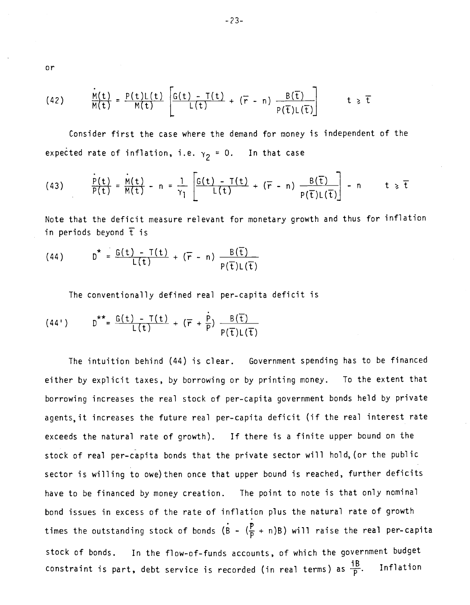or

(42) 
$$
\frac{\dot{M}(t)}{M(t)} = \frac{P(t)L(t)}{M(t)} \left[ \frac{G(t) - T(t)}{L(t)} + (\overline{r} - n) \frac{B(\overline{t})}{P(\overline{t})L(\overline{t})} \right] \qquad t \geq \overline{t}
$$

Consider first the case where the demand for money is independent of the expected rate of inflation, i.e.  $\gamma_2 = 0$ . In that case

(43) 
$$
\frac{P(t)}{P(t)} = \frac{\dot{M}(t)}{M(t)} - n = \frac{1}{\gamma_1} \left[ \frac{G(t) - T(t)}{L(t)} + (\overline{r} - n) \frac{B(\overline{t})}{P(\overline{t})L(\overline{t})} \right] - n \qquad t \geq \overline{t}
$$

Note that the deficit measure relevant for monetary growth and thus for inflation in periods beyond  $\bar{t}$  is

(44) 
$$
D^* = \frac{G(t) - T(t)}{L(t)} + (\overline{r} - n) \frac{B(\overline{t})}{P(\overline{t})L(\overline{t})}
$$

The conventionally defined real per-capita deficit is

(44') 
$$
D^{\star\star} = \frac{G(t) - T(t)}{L(t)} + (\overline{r} + \frac{\dot{p}}{p}) \frac{B(\overline{t})}{P(\overline{t})L(\overline{t})}
$$

The intuition behind (44) is clear. Government spending has to be financed either by explicit taxes, by borrowing or by printing money. To the extent that borrowing increases the real stock of per-capita government bonds held by private agents, it increases the future real per-capita deficit (if the real interest rate exceeds the natural rate of growth). If there is a finite upper bound on the stock of real per—capita bonds that the private sector will hold, (or the public sector is willing to owe) then once that upper bound is reached, further deficits have to be financed by money creation. The point to note is that only nominal bond issues in excess of the rate of inflation plus the natural rate of growth times the outstanding stock of bonds  $(B - (\frac{P}{P} + n)B)$  will raise the real per-capita stock of bonds. In the flow-of-funds accounts, of which the government budget constraint is part, debt service is recorded (in real terms) as  $\frac{1B}{P}$ . Inflation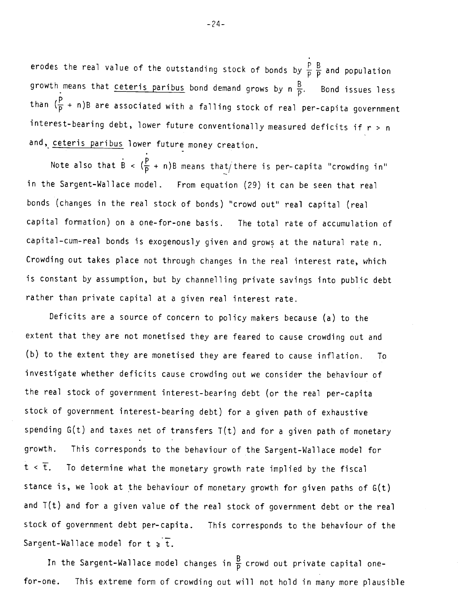erodes the real value of the outstanding stock of bonds by  $\frac{p}{p}$   $\frac{B}{p}$  and population growth means that ceteris paribus bond demand grows by n  $\frac{B}{P}$ . Bond issues less than  $(\frac{p}{p} + n)$ B are associated with a falling stock of real per-capita government interest-bearing debt, lower future conventionally measured deficits if  $r > n$ and, ceteris paribus lower future money creation.

Note also that  $\dot{B}$  <  $(\frac{p}{p} + n)B$  means that/there is per-capita "crowding in" in the Sargent—Wallace model. From equation (29) it can be seen that real bonds (changes in the real stock of bonds) "crowd out" real capital (real capital formation) on a one-for-one basis. The total rate of accumulation of capital—cum-real bonds is exogenously given and grows at the natural rate n. Crowding out takes place not through changes in the real interest rate, which is constant by assumption, but by channelling private savings into public debt rather than private capital at a given real interest rate.

Deficits are a source of concern to policy makers because (a) to the extent that they are not monetised they are feared to cause crowding out and (b) to the extent they are monetised they are feared to cause inflation. To investigate whether deficits cause crowding out we consider the behaviour of the real stock of government interest-bearing debt (or the real per-capita stock of government interest-bearing debt) for a given path of exhaustive spending G(t) and taxes net of transfers T(t) and for a given path of monetary growth. This corresponds to the behaviour of the Sargent-Wallace model for  $t < \overline{t}$ . To determine what the monetary growth rate implied by the fiscal stance is, we look at the behaviour of monetary growth for given paths of G(t) and T(t) and for a given value of the real stock of government debt or the real stock of government debt per-capita. This corresponds to the behaviour of the Sargent-Wallace model for  $t \geq \overline{t}$ .

In the Sargent–Wallace model changes in  $\frac{B}{P}$  crowd out private capital onefor-one. This extreme form of crowding out will not hold in many more plausible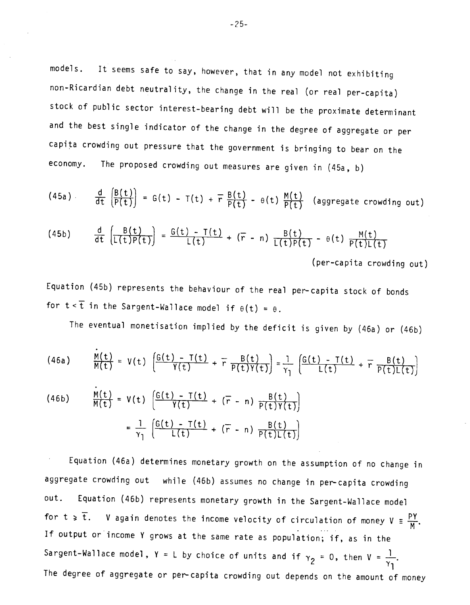models. It seems safe to say, however, that in any model not exhibiting non-Ricardian debt neutrality, the change in the real (or real per—capita) stock of public sector interest-bearing debt will be the proximate determinant and the best single indicator of the change in the degree of aggregate or per capita crowding out pressure that the government is bringing to bear on the economy. The proposed crowding out measures are given in (45a, b)

(45a) 
$$
\frac{d}{dt} \left( \frac{B(t)}{P(t)} \right) = G(t) - T(t) + \overline{r} \frac{B(t)}{P(t)} - \theta(t) \frac{M(t)}{P(t)}
$$
 (aggregate crowding out)

(45b) 
$$
\frac{d}{dt} \left[ \frac{B(t)}{L(t)P(t)} \right] = \frac{G(t) - T(t)}{L(t)} + (\overline{r} - n) \frac{B(t)}{L(t)P(t)} - \theta(t) \frac{M(t)}{P(t)L(t)}
$$

(per—capita crowding out)

Equation (45b) represents the behaviour of the real per—capita stock of bonds for  $t < \overline{t}$  in the Sargent-Wallace model if  $\theta(t) = \theta$ .

The eventual monetisation implied by the deficit is given by (46a) or (46b)

(46a) 
$$
\frac{M(t)}{M(t)} = V(t) \left[ \frac{G(t) - T(t)}{Y(t)} + \overline{r} \frac{B(t)}{P(t)Y(t)} \right] = \frac{1}{\gamma_1} \left[ \frac{G(t) - T(t)}{L(t)} + \overline{r} \frac{B(t)}{P(t)L(t)} \right]
$$

(46b) 
$$
\frac{M(t)}{M(t)} = V(t) \left[ \frac{G(t) - T(t)}{Y(t)} + (\overline{r} - n) \frac{B(t)}{P(t)Y(t)} \right]
$$

$$
= \frac{1}{\gamma_1} \left[ \frac{G(t) - T(t)}{L(t)} + (\overline{r} - n) \frac{B(t)}{P(t)L(t)} \right]
$$

Equation (46a) determines monetary growth on the assumption of no change in aggregate crowding out while (46b) assumes no change in per-capita crowding out. Equation (46b) represents monetary growth in the Sargent-Wallace model for  $t \geq \overline{t}$ . V again denotes the income velocity of circulation of money  $V = \frac{PY}{M}$ . If output or income Y grows at the same rate as population; if, as in the Sargent–Wallace model,  $Y = L$  by choice of units and if  $\gamma_2 = 0$ , then  $V = \frac{1}{\gamma_1}$ . The degree of aggregate or per-capita crowding out depends on the amount of money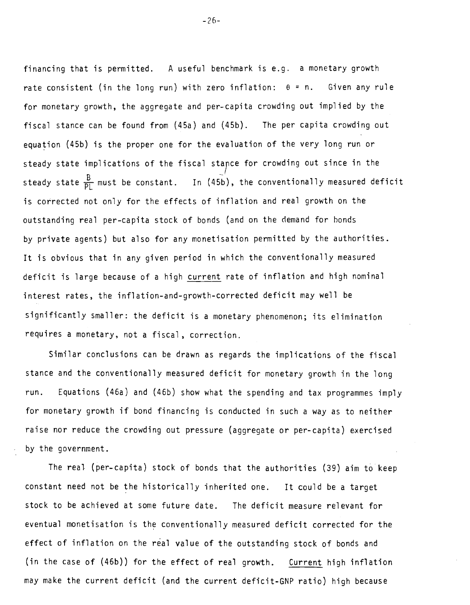financing that is permitted. A useful benchmark is e.g. a monetary growth rate consistent (in the long run) with zero inflation:  $\theta$  = n. Given any rule for monetary growth, the aggregate and per-capita crowding out implied by the fiscal stance can be found from (45a) and (45b). The per capita crowding out equation (45b) is the proper one for the evaluation of the very long run or steady state implications of the fiscal stance for crowding out since in the steady state  $\frac{B}{PL}$  must be constant. In (45b), the conventionally measured deficit is corrected not only for the effects of inflation and real growth on the outstanding real per-capita stock of bonds (and on the demand for bonds by private agents) but also for any monetisation permitted by the authorities. It is obvious that in any given period in which the conventionally measured deficit is large because of a high current rate of inflation and high nominal interest rates, the inflation-and—growth-corrected deficit may well be significantly smaller: the deficit is a monetary phenomenon; its elimination requires a monetary, not a fiscal , correction.

Similar conclusions can be drawn as regards the implications of the fiscal stance and the conventionally measured deficit for monetary growth in the long run. Equations (46a) and (46b) show what the spending and tax programmes imply for monetary growth if bond financing is conducted in such a way as to neither raise nor reduce the crowding out pressure (aggregate or per-capita) exercised by the government.

The real (per-capita) stock of bonds that the authorities (39) aim to keep constant need not be the historically inherited one. It could be a target stock to be achieved at some future date. The deficit measure relevant for eventual monetisation is the conventionally measured deficit corrected for the effect of inflation on the real value of the outstanding stock of bonds and (in the case of (46b)) for the effect of real growth. Current high inflation may make the current deficit (and the current deficit-GNP ratio) high because

-25-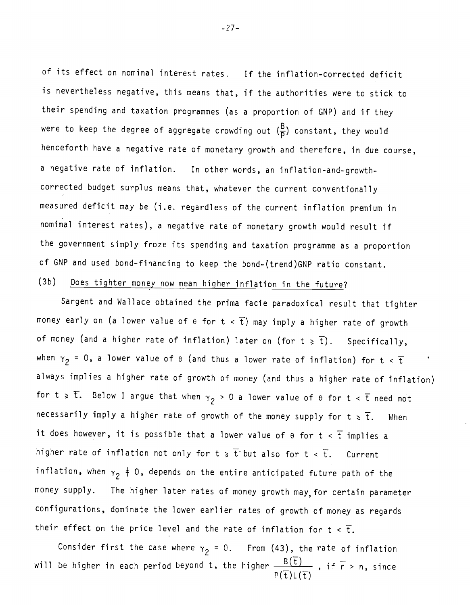of its effect on nominal interest rates. If the inflation—corrected deficit is nevertheless negative, this means that, if the authorities were to stick to their spending and taxation programmes (as a proportion of GNP) and if they were to keep the degree of aggregate crowding out  $(\frac{B}{D})$  constant, they would henceforth have a negative rate of monetary growth and therefore, in due course, a negative rate of inflation. In other words, an inflation-and-growthcorrected budget surplus means that, whatever the current conventionally measured deficit may be (i.e. regardless of the current inflation premium in nominal interest rates), a negative rate of monetary growth would result if the government simply froze its spending and taxation programme as a proportion of GNP and used bond-financing to keep the bond-(trend)GNP ratio constant.

# (3b) Does tighter money now mean higher inflation in the future?

Sargent and Wallace obtained the prima facie paradoxical result that tighter money early on (a lower value of  $\theta$  for  $t < \overline{t}$ ) may imply a higher rate of growth of money (and a higher rate of inflation) later on (for  $t \geq \overline{t}$ ). Specifically, when  $\gamma_2 = 0$ , a lower value of  $e$  (and thus a lower rate of inflation) for  $t < \overline{t}$ always implies a higher rate of growth of money (and thus a higher rate of inflation) for  $t \geq \overline{t}$ . Below I argue that when  $\gamma_2 > 0$  a lower value of  $\theta$  for  $t < \overline{t}$  need not necessarily imply a higher rate of growth of the money supply for  $t \geq \overline{t}$ . When it does however, it is possible that a lower value of  $\theta$  for  $t < \overline{t}$  implies a higher rate of inflation not only for  $t > \overline{t}$  but also for  $t < \overline{t}$ . Current inflation, when  $\gamma_2$   $\neq$  0, depends on the entire anticipated future path of the money supply. The higher later rates of money growth may, for certain parameter configurations, dominate the lower earlier rates of growth of money as regards their effect on the price level and the rate of inflation for  $t < \overline{t}$ .

Consider first the case where  $\gamma_2 = 0$ . From (43), the rate of inflation will be higher in each period beyond t, the higher  $\frac{B(\overline{t})}{\sqrt{n}+\sqrt{n}}$  , if  $\overline{r}$  > n, since P(t)L(t)

-27—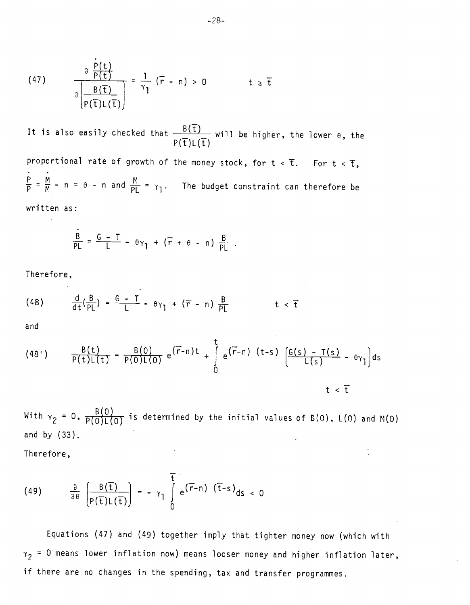(47) 
$$
\frac{\partial \frac{P(t)}{P(t)}}{\partial \left[\frac{B(\overline{t})}{P(\overline{t})L(\overline{t})}\right]} = \frac{1}{\gamma_1} (\overline{r} - n) > 0 \qquad t \geq \overline{t}
$$

It is also easily checked that  $\frac{B(t)}{B(t)}$  will be higher, the lower  $\theta$ , the  $P(t)L(t)$ 

proportional rate of growth of the money stock, for  $t < \overline{t}$ . For  $t < \overline{t}$ ,  $\frac{P}{P} = \frac{M}{M}$  - n =  $\theta$  - n and  $\frac{M}{PL}$  =  $\gamma_1$ . The budget constraint can therefore be written as:

$$
\frac{B}{PL} = \frac{G - T}{L} - \theta \gamma_1 + (\overline{r} + \theta - n) \frac{B}{PL}.
$$

Therefore,

(48) 
$$
\frac{d}{dt}(\frac{B}{PL}) = \frac{G - T}{L} - \theta \gamma_1 + (\overline{r} - n) \frac{B}{PL} \qquad t < \overline{t}
$$

and

(48') 
$$
\frac{B(t)}{P(t)L(t)} = \frac{B(0)}{P(0)L(0)} e^{(\overline{r}-n)t} + \int_{0}^{t} e^{(\overline{r}-n)(t-s)} \left(\frac{G(s) - T(s)}{L(s)} - \theta \gamma_1\right) ds
$$

With  $\gamma_2 = 0$ ,  $\frac{B(0)}{P(0)L(0)}$  is determined by the initial values of B(0), L(0) and M(0) and by (33).

Therefore,

(49) 
$$
\frac{\partial}{\partial \theta} \left( \frac{B(\overline{t})}{P(\overline{t})L(\overline{t})} \right) = - \gamma_1 \int_0^{\overline{t}} e^{(\overline{r}-n) (\overline{t}-s)} ds < 0
$$

Equations (47) and (49) together imply that tighter money now (which with  $\gamma_2$  = 0 means lower inflation now) means looser money and higher inflation later, if there are no changes in the spending, tax and transfer programmes.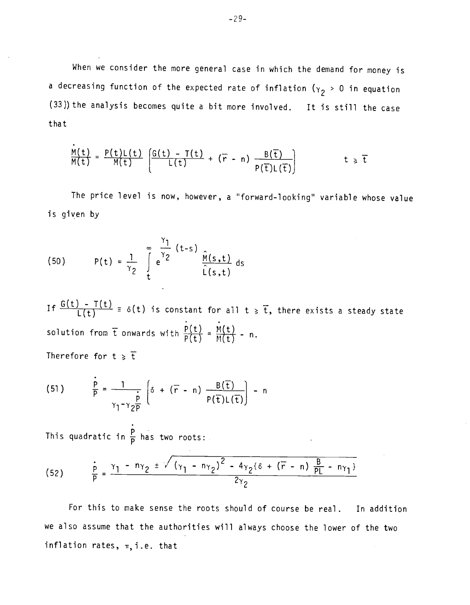When we consider the more general case in which the demand for money is a decreasing function of the expected rate of inflation  $({\gamma}_2$  > 0 in equation (33)) the analysis becomes quite a bit more involved. It is still the case that

$$
\frac{M(t)}{M(t)} = \frac{P(t)L(t)}{M(t)} \left[ \frac{G(t) - T(t)}{L(t)} + (\overline{r} - n) \frac{B(\overline{t})}{P(\overline{t})L(\overline{t})} \right] \qquad t \geq \overline{t}
$$

The price level is now, however, a 'forward-looking" variable whose value is given by

(50) 
$$
P(t) = \frac{1}{\gamma_2} \int_{t}^{\infty} e^{\frac{\gamma_1}{\gamma_2} (t-s)} \frac{\hat{M}(s,t)}{\hat{L}(s,t)} ds
$$

If  $\frac{G(t) - T(t)}{L(t)} \equiv \delta(t)$  is constant for all  $t \geq \overline{t}$ , there exists a steady state solution from  $\overline{t}$  onwards with  $\frac{\dot{P}(t)}{P(t)} = \frac{\dot{M}(t)}{M(t)}$  - n. Therefore for  $t \geq \overline{t}$ 

(51) 
$$
\frac{\dot{P}}{P} = \frac{1}{\gamma_1 - \gamma_2 \frac{P}{P}} \left( \delta + (\overline{r} - n) \frac{B(\overline{t})}{P(\overline{t})L(\overline{t})} \right) - n
$$

This quadratic in  $\frac{p}{p}$  has two roots:

(52) 
$$
\frac{p}{p} = \frac{\gamma_1 - n\gamma_2 \pm \sqrt{(\gamma_1 - n\gamma_2)^2 - 4\gamma_2 \{\delta + (\overline{r} - n) \frac{B}{PL} - n\gamma_1 \}}}{2\gamma_2}
$$

For this to make sense the roots should of course be real. In addition we also assume that the authorities will always choose the lower of the two inflation rates,  $\pi$ , i.e. that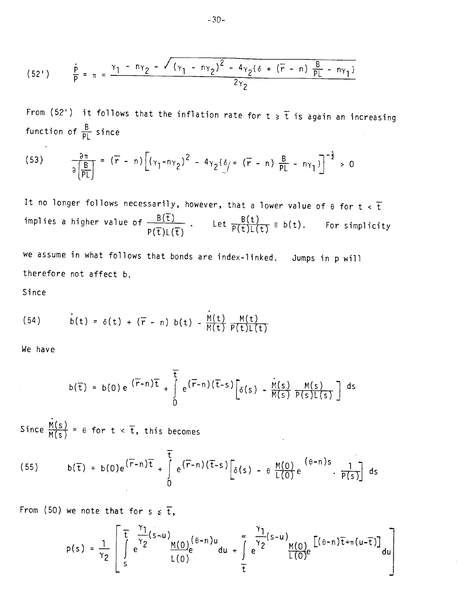(52') 
$$
\frac{\dot{p}}{p} = \pi = \frac{\gamma_1 - n\gamma_2 - \sqrt{(\gamma_1 - n\gamma_2)^2 - 4\gamma_2(\delta + (\bar{r} - n))\frac{B}{PL} - n\gamma_1}}{2\gamma_2}
$$

From (52') it follows that the inflation rate for  $t \geq \overline{t}$  is again an increasing function of  $\frac{B}{PL}$  since

(53) 
$$
\frac{\partial \pi}{\partial \left(\frac{B}{PL}\right)} = (\overline{r} - n) \left[ (\gamma_1 - n\gamma_2)^2 - 4\gamma_2 \left( \frac{\delta}{r} + (\overline{r} - n) \frac{B}{PL} - n\gamma_1 \right] \right]^{-\frac{1}{2}} > 0
$$

It no longer follows necessarily, however, that a lower value of  $\theta$  for  $t < \overline{t}$ implies a higher value of  $\frac{B(t)}{B(t)}$ . Let  $\frac{B(t)}{P(t) \mid (t)} \equiv b(t)$ . For simplicity  $P(t)L(t)$ 

we assume in what follows that bonds are index-linked. Jumps in p will therefore not affect b.

Since

(54) 
$$
\dot{b}(t) = \delta(t) + (\overline{r} - n) b(t) - \frac{M(t)}{M(t)} \frac{M(t)}{P(t)L(t)}
$$

We have

$$
b(\overline{t}) = b(0) e^{(\overline{r}-n)\overline{t}} + \int_{0}^{\overline{t}} e^{(\overline{r}-n)(\overline{t}-s)} \left[\delta(s) - \frac{\dot{M}(s)}{M(s)} \frac{M(s)}{P(s)L(s)}\right] ds
$$

Since  $\frac{M(s)}{M(s)} = \theta$  for  $t < \overline{t}$ , this becomes

(55) 
$$
b(\overline{t}) = b(0)e^{(\overline{r}-n)\overline{t}} + \int_{0}^{\overline{t}} e^{(\overline{r}-n)(\overline{t}-s)} \left[\delta(s) - \theta \frac{M(0)}{L(0)}e^{(\theta-n)s} \cdot \frac{1}{P(s)}\right] ds
$$

From (50) we note that for  $s \leq \overline{t}$ ,

$$
p(s) = \frac{1}{\gamma_2} \left[ \int_{s}^{\frac{\pi}{t}} e^{\frac{\gamma_1}{2}(s-u)} \frac{M(0)_{e}^{(\theta-n)u}}{L(0)} du + \int_{\frac{\pi}{t}}^{\infty} e^{\frac{\gamma_1}{2}(s-u)} \frac{M(0)_{e}^{(\theta-n)\overline{t}+\pi(u-\overline{t})}}{L(0)} du \right]
$$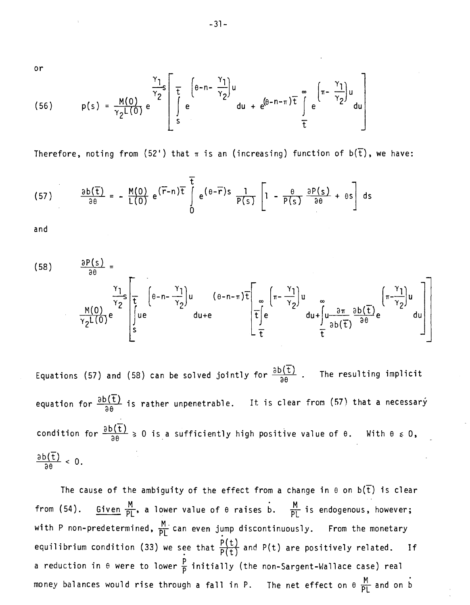or

(56) 
$$
p(s) = \frac{M(0)}{\gamma_2 L(0)} e^{-\frac{\gamma_1}{\gamma_2}} \left[ \frac{\tau}{\int_{s}^{t}} \left( e^{-n-\frac{\gamma_1}{\gamma_2}} \right) u_{\text{du}} + e^{(0-n-\pi)\tau} \right]_{t}^{\infty} e^{-\left( \pi - \frac{\gamma_1}{\gamma_2} \right) u_{\text{du}}} \frac{1}{\tau} \frac{\pi}{\sqrt{2}} e^{-\frac{\gamma_1}{\gamma_2} \left( \frac{\tau}{\gamma_2} \right) u_{\text{du}}} \frac{1}{\tau} \frac{\pi}{\sqrt{2}} e^{-\frac{\gamma_1}{\gamma_2} \left( \frac{\tau}{\gamma_2} \right) u_{\text{du}}} \frac{1}{\tau} \frac{\pi}{\sqrt{2}} e^{-\frac{\gamma_1}{\gamma_2} \left( \frac{\tau}{\gamma_2} \right) u_{\text{du}}} \frac{1}{\tau} \frac{\pi}{\sqrt{2}} e^{-\frac{\gamma_1}{\gamma_2} \left( \frac{\tau}{\gamma_2} \right) u_{\text{du}}} \frac{1}{\tau} \frac{\pi}{\sqrt{2}} e^{-\frac{\gamma_1}{\gamma_2} \left( \frac{\tau}{\gamma_2} \right) u_{\text{du}}} \frac{1}{\tau} \frac{\pi}{\sqrt{2}} e^{-\frac{\gamma_1}{\gamma_2} \left( \frac{\tau}{\gamma_2} \right) u_{\text{du}}} \frac{1}{\tau} \frac{\pi}{\sqrt{2}} e^{-\frac{\gamma_1}{\gamma_2} \left( \frac{\tau}{\gamma_2} \right) u_{\text{du}}} \frac{1}{\tau} \frac{\pi}{\sqrt{2}} e^{-\frac{\gamma_1}{\gamma_2} \left( \frac{\tau}{\gamma_2} \right) u_{\text{du}}} \frac{1}{\tau} \frac{\pi}{\sqrt{2}} e^{-\frac{\gamma_1}{\gamma_2} \left( \frac{\tau}{\gamma_2} \right) u_{\text{du}}} \frac{1}{\tau} \frac{\pi}{\sqrt{2}} e^{-\frac{\gamma_1}{\gamma_2} \left( \frac{\tau}{\gamma_2} \right) u_{\text{du}}} \frac{1}{\tau} \frac{\pi}{\sqrt{2}} e^{-\frac{\gamma_1}{\gamma_2} \left( \frac{\tau}{\gamma_2} \right) u_{\text{du}}} \frac{1}{\tau} \frac{\pi}{\sqrt{2}} e^{-\
$$

Therefore, noting from  $(52^{\circ})$  that  $\pi$  is an (increasing) function of  $b(\overline{t})$ , we have:

(57) 
$$
\frac{\partial b(\overline{t})}{\partial \theta} = -\frac{M(0)}{L(0)} e^{(\overline{r}-n)\overline{t}} \int_{0}^{\overline{t}} e^{(\theta-\overline{r})s} \frac{1}{P(s)} \left[1 - \frac{\theta}{P(s)} \frac{\partial P(s)}{\partial \theta} + \theta s \right] ds
$$

and

(58) 
$$
\frac{\partial P(s)}{\partial \theta} = \frac{\gamma_1}{\gamma_2} \left[ \frac{\gamma_1}{t} \left( \theta - n - \frac{\gamma_1}{\gamma_2} \right) u \right] ( \theta - n - \pi) \left[ \frac{\pi}{t} \left( e - \frac{\gamma_1}{\gamma_2} \right) u \right] ( \theta - n - \pi) \left[ \frac{\pi}{t} \left( e - \frac{\gamma_1}{\gamma_2} \right) u \right] ( \theta - n - \pi) \left[ \frac{\pi}{t} \left( e - \frac{\gamma_1}{\gamma_2} \right) u \right] ( \theta - n - \pi) \left[ \frac{\pi}{t} \left( e - \frac{\gamma_1}{\gamma_2} \right) u \right] ( \theta - n - \pi) \left[ \frac{\pi}{t} \left( e - \frac{\gamma_1}{\gamma_2} \right) u \right] ( \theta - n - \pi) \left[ \frac{\pi}{t} \left( e - \frac{\gamma_1}{\gamma_2} \right) u \right] ( \theta - n - \pi) \left[ \frac{\pi}{t} \left( e - \frac{\gamma_1}{\gamma_2} \right) u \right] ( \theta - n - \pi) \left[ \frac{\pi}{t} \left( e - \frac{\gamma_1}{\gamma_2} \right) u \right] ( \theta - n - \pi) \left[ \frac{\pi}{t} \left( e - \frac{\gamma_1}{\gamma_2} \right) u \right] ( \theta - n - \pi) \left[ \frac{\pi}{t} \left( e - \frac{\gamma_1}{\gamma_2} \right) u \right] ( \theta - n - \pi) \left[ \frac{\pi}{t} \left( e - \frac{\gamma_1}{\gamma_2} \right) u \right] ( \theta - n - \pi) \left[ \frac{\pi}{t} \left( e - \frac{\gamma_1}{\gamma_2} \right) u \right] ( \theta - n - \pi) \left[ \frac{\pi}{t} \left( e - \frac{\gamma_1}{\gamma_2} \right) u \right] ( \theta - n - \pi) \left[ \frac{\pi}{t} \left( e - \frac{\gamma_1}{\gamma_2} \right) u \right] ( \theta - n - \pi) \left[ \frac{\pi}{t} \left( e - \frac{\gamma_1}{\gamma_2} \right) u \right] ( \theta - n - \pi) \left[ \frac{\pi}{t} \left( e - \frac{\gamma_1}{\gamma_2} \right) u \right] ( \theta -
$$

 $\frac{\partial b(\overline{t})}{\partial \theta} < 0.$ Equations (57) and (58) can be solved jointly for  $\frac{3\alpha V}{2\alpha}$  . The resulting implicit equation for  $\frac{\partial b(t)}{\partial \theta}$  is rather unpenetrable. It is clear from (57) that a necessary condition for  $\frac{\partial b(t)}{\partial \theta} \geqslant 0$  is a sufficiently high positive value of  $\theta$ . With  $\theta \leqslant 0$ ,

The cause of the ambiguity of the effect from a change in  $\theta$  on  $b(\overline{t})$  is clear from (54). Given  $\frac{M}{PL}$ , a lower value of  $\theta$  raises b.  $\frac{M}{PL}$  is endogenous, however; with P non-predetermined,  $\frac{M}{p}$  can even jump discontinuously. From the monetary equilibrium condition (33) we see that  $\frac{P(t)}{P(t)}$  and P(t) are positively related. If a reduction in  $\theta$  were to lower  $\frac{p}{p}$  initially (the non-Sargent-Wallace case) real money balances would rise through a fall in P. The net effect on  $\theta$   $\frac{M}{PL}$  and on b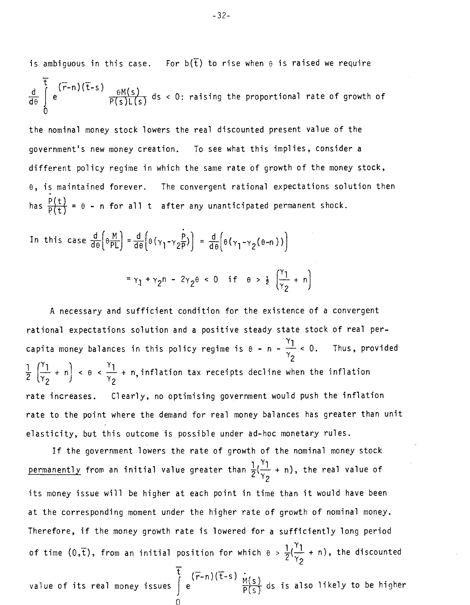is ambiguous in this case. For  $b(\overline{t})$  to rise when  $\theta$  is raised we require  $\overline{t}$   $(\overline{r} n)(\overline{t} s)$  $\frac{d}{d\theta}$   $\int_{0}^{\infty} e^{(r-n)(t-s)} \frac{\theta M(s)}{P(s)L(s)} ds < 0$ e  $\frac{601(3)}{P(s)L(s)}$  ds < 0: raising the proportional rate of growth of

the nominal money stock lowers the real discounted present value of the government's new money creation. To see what this implies, consider a different policy regime in which the same rate of growth of the money stock, 0, is maintained forever. The convergent rational expectations solution then has  $\frac{P(t)}{P(t)} = \theta$  - n for all t after any unanticipated permanent shock.

In this case 
$$
\frac{d}{d\theta} \left( \theta \frac{M}{PL} \right) = \frac{d}{d\theta} \left( \theta (\gamma_1 - \gamma_2 \frac{P}{P}) \right) = \frac{d}{d\theta} \left( \theta (\gamma_1 - \gamma_2 (\theta - n)) \right)
$$
  

$$
= \gamma_1 + \gamma_2 n - 2\gamma_2 \theta < 0 \text{ if } \theta > \frac{1}{2} \left( \frac{\gamma_1}{\gamma_2} + n \right)
$$

A necessary and sufficient condition for the existence of a convergent rational expectations solution and a positive steady state stock of real per-. capita money balances in this policy regime is  $\theta$  - n -  $\frac{\gamma_1}{\gamma_2}$  < 0. Thus, provided Capita money barances in this pointy regime is  $\sigma = n - \frac{1}{\gamma_2}$  . Thus, provided<br> $\frac{1}{\gamma_2} \left( \frac{\gamma_1}{\gamma_1} + n \right) < \theta < \frac{\gamma_1}{\gamma_2} + n$ , inflation tax receipts decline when the inflation  $(\overline{y_2} + n)$   $\leq \theta \leq \overline{y_2} + n$ , inflation tax rate increases. Clearly, no optimising government would push the inflation rate to the point where the demand for real money balances has greater than unit elasticity, but this outcome is possible under ad—hoc monetary rules.

If the government lowers the rate of growth of the nominal money stock <u>permanently</u> from an initial value greater than  $\frac{1}{2}(\frac{1}{\gamma_2} + n)$ , the real value of its money issue will be higher at each point in time than it would have been at the corresponding moment under the higher rate of growth of nominal money. Therefore, if the money growth rate is lowered for a sufficiently long period of time (0,t), from an initial position for which  $\theta > \frac{1}{2}(\frac{r_1}{r_2} + n)$ , the discounted  $\frac{t}{(r-n)(\overline{t}-s)}$   $\frac{t}{M(s)}$ value of its real money issues  $\int e^{-(\frac{M(S)}{P(S)})}$  ds is also likely to be higher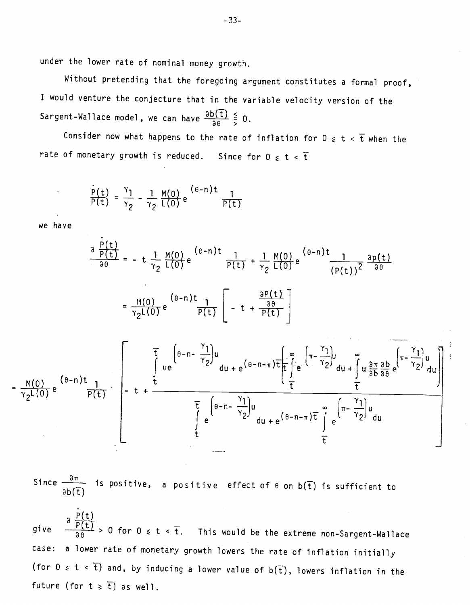under the lower rate of nominal money growth.

Without pretending that the foregoing argument constitutes a formal proof, I would venture the conjecture that in the variable velocity version of the Sargent–Wallace model, we can have  $\frac{\partial b(t)}{\partial \theta} \leq 0$ .

Consider now what happens to the rate of inflation for  $0 \leq t < \overline{t}$  when the rate of monetary growth is reduced. Since for  $0 \leq t < \overline{t}$ 

$$
\frac{\dot{P}(t)}{P(t)} = \frac{\gamma_1}{\gamma_2} - \frac{1}{\gamma_2} \frac{M(0)}{L(0)} e^{(\theta - n)t} \frac{1}{P(t)}
$$

we have

$$
\frac{\partial P(t)}{\partial \theta} = - t \frac{1}{\gamma_2} \frac{M(0)}{L(0)} e^{(\theta - n)t} \frac{1}{P(t)} + \frac{1}{\gamma_2} \frac{M(0)}{L(0)} e^{(\theta - n)t} \frac{1}{(P(t))^2} \frac{\partial p(t)}{\partial \theta}
$$

$$
= \frac{M(0)}{\gamma_2 L(0)} e^{(\theta - n)t} \frac{1}{P(t)} \left[ - t + \frac{\frac{\partial P(t)}{\partial \theta}}{P(t)} \right]
$$



Since  $\frac{\partial \pi}{\partial b(\overline{t})}$  is positive, a positive effect of  $\theta$  on  $b(\overline{t})$  is sufficient to

 $P(t)$ give  $\frac{1}{20}$  > 0 for 0  $\leq$  t  $\leq$   $\overline{t}$ . This would be the extreme non-Sargent-Wallace case: a lower rate of monetary growth lowers the rate of inflation initially (for  $0$   $\le$   ${\tt t}$   $\le$   $\overline{\tt t}$ ) and, by inducing a lower value of b( $\overline{\tt t}$ ), lowers inflation in the future (for  $t$   $\geqslant$   $t)$  as well.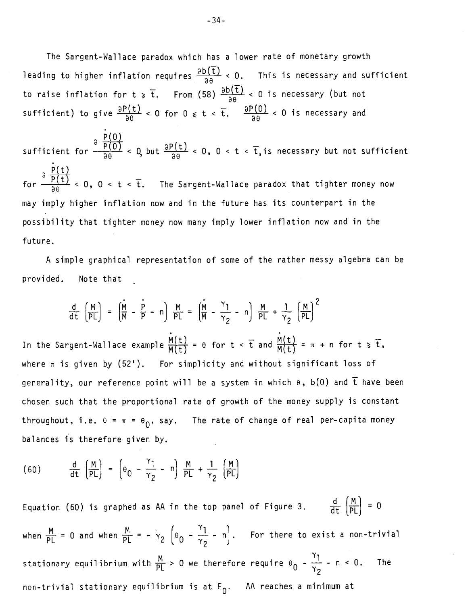The Sargent-Wallace paradox which has a lower rate of monetary growth leading to higher inflation requires  $\frac{\partial b(\overline{t})}{\partial \theta} < 0$ . This is necessary and sufficient to raise inflation for  $t \ge \overline{t}$ . From (58)  $\frac{\partial b(\overline{t})}{\partial \theta} < 0$  is necessary (but not sufficient) to give  $\frac{\partial P(t)}{\partial \theta} < 0$  for  $0 \leq t < \overline{t}$ .  $\frac{\partial P(0)}{\partial \theta} < 0$  is necessary and  $P(0)$ sufficient for  $\frac{\partial P(0)}{\partial \theta} < 0$ , but  $\frac{\partial P(t)}{\partial \theta} < 0$ ,  $0 < t < \overline{t}$ , is necessary but not sufficient for  $\frac{\partial P(t)}{\partial q}$  < 0, 0 < t <  $\overline{t}$ . The Sargent-Wallace paradox that tighter money now may imply higher inflation now and in the future has its counterpart in the possibility that tighter money now many imply lower inflation now and in the

future.

A simple graphical representation of some of the rather messy algebra can be provided. Note that

Note that  
\n
$$
\frac{d}{dt} \left( \frac{M}{PL} \right) = \left( \frac{\dot{M}}{M} - \frac{\dot{P}}{P} - n \right) \frac{M}{PL} = \left( \frac{\dot{M}}{M} - \frac{\gamma_1}{\gamma_2} - n \right) \frac{M}{PL} + \frac{1}{\gamma_2} \left( \frac{M}{PL} \right)^2
$$

In the Sargent-Wallace example  $\frac{M(t)}{M(t)} = \theta$  for  $t < \overline{t}$  and  $\frac{M(t)}{M(t)} = \pi + n$  for  $t \ge \overline{t}$ , where  $\pi$  is given by (52'). For simplicity and without significant loss of generality, our reference point will be a system in which  $\theta$ ,  $b(0)$  and  $\overline{t}$  have been chosen such that the proportional rate of growth of the money supply is constant throughout, i.e.  $\theta = \pi = \theta_0$ , say. The rate of change of real per-capita money balances is therefore given by.

(60) 
$$
\frac{d}{dt} \left( \frac{M}{PL} \right) = \left( \theta_0 - \frac{\gamma_1}{\gamma_2} - n \right) \frac{M}{PL} + \frac{1}{\gamma_2} \left( \frac{M}{PL} \right)
$$

Equation (60) is graphed as AA in the top panel of Figure 3.  $\frac{d}{dt} \left( \frac{M}{PL} \right) = 0$ when  $\frac{M}{PL}$  = 0 and when  $\frac{M}{PL}$  = -  $\gamma_2$   $\left(\theta_0 - \frac{11}{\gamma_2} - n\right)$ . For there to exist a non-trivial stationary equilibrium with  $\frac{M}{PL} > 0$  we therefore require  $\theta_0 - \frac{\gamma_1}{\gamma_2} - n < 0$ . The non-trivial stationary equilibrium is at  $E_0$ . AA reaches a minimum at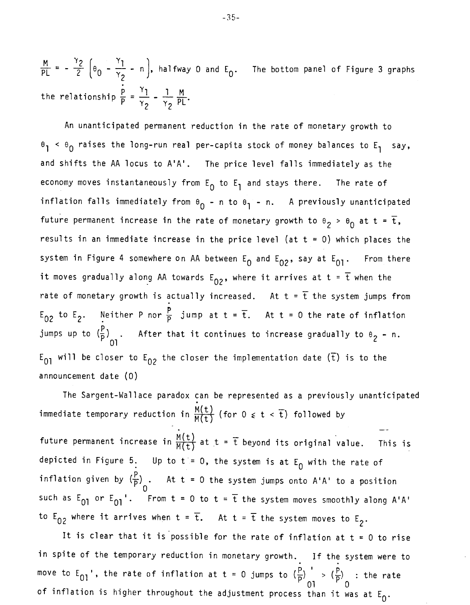$\frac{M}{PL}$  =  $-\frac{\gamma_2}{2}\left(\theta_0-\frac{\gamma_1}{\gamma_2}-n\right)$ , halfway 0 and E<sub>0</sub>. The bottom panel of Figure 3 graphs the relationship  $\frac{P}{D} = \frac{1}{P} - \frac{P}{P}$ .  $P$   $\gamma_2$   $\gamma_2$   $PL$ 

An unanticipated permanent reduction in the rate of monetary growth to  $\theta_1$  <  $\theta_0$  raises the long-run real per-capita stock of money balances to E<sub>1</sub> say, and shifts the AA locus to A'A'. The price level falls immediately as the economy moves instantaneously from  $E_0$  to  $E_1$  and stays there. The rate of inflation falls immediately from  $\theta_0$  - n to  $\theta_1$  - n. A previously unanticipated future permanent increase in the rate of monetary growth to  $\theta_2 > \theta_0$  at  $t = \overline{t}$ , results in an immediate increase in the price level (at  $t = 0$ ) which places the system in Figure 4 somewhere on AA between  $E_0$  and  $E_{02}$ , say at  $E_{01}$ . From there it moves gradually along AA towards  $E_{02}$ , where it arrives at t =  $\overline{t}$  when the rate of monetary growth is actually increased. At  $t = \overline{t}$  the system jumps from E<sub>02</sub> to E<sub>2</sub>. Neither P nor  $\frac{p}{p}$  jump at t =  $\overline{t}$ . At t = 0 the rate of inflation jumps up to  $(\frac{p}{p})$  . After that it continues to increase gradually to  $\theta_{2}$  – n. 01  $E_{01}$  will be closer to  $E_{02}$  the closer the implementation date (t) is to the announcement date (0)

The Sargent-Wallace paradox can be represented as a previously unanticipated immediate temporary reduction in  $\frac{M(t)}{M(t)}$  (for  $0 \le t \le \overline{t}$ ) followed by future permanent increase in  $\frac{M(t)}{M(t)}$  at t =  $\overline{t}$  beyond its original value. This is depicted in Figure 5. Up to t = 0, the system is at  $E_0$  with the rate of inflation given by  $(\frac{C}{D})$  . At t = 0 the system jumps onto A'A' to a position 0 such as  $E_{01}$  or  $E_{01}'$ . From  $t = 0$  to  $t = \overline{t}$  the system moves smoothly along A'A' to E<sub>02</sub> where it arrives when  $t = \overline{t}$ . At  $t = \overline{t}$  the system moves to E<sub>2</sub>.

It is clear that it is possible for the rate of inflation at  $t = 0$  to rise in spite of the temporary reduction in monetary growth. If the system were to move to  $E_{0}$ <sup>'</sup>, the rate of inflation at t = 0 jumps to  $(\frac{p}{p})_{0}^{\prime}$  >  $(\frac{p}{p})_{0}^{\prime}$  : the rate 01 0 of inflation is higher throughout the adjustment process than it was at  $\mathsf{E}_0.$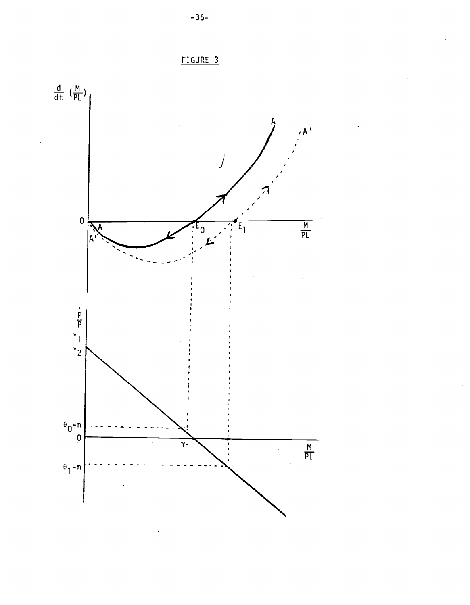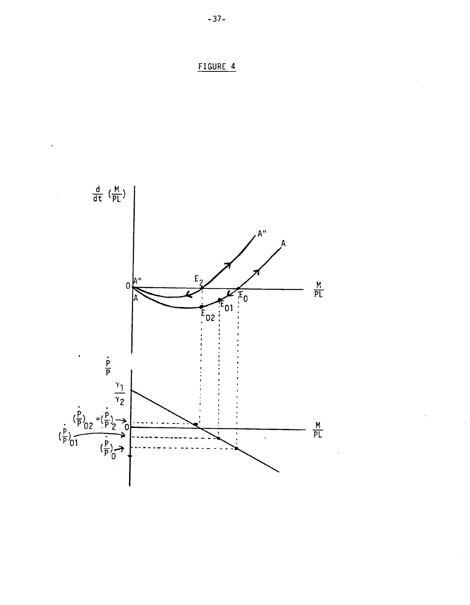

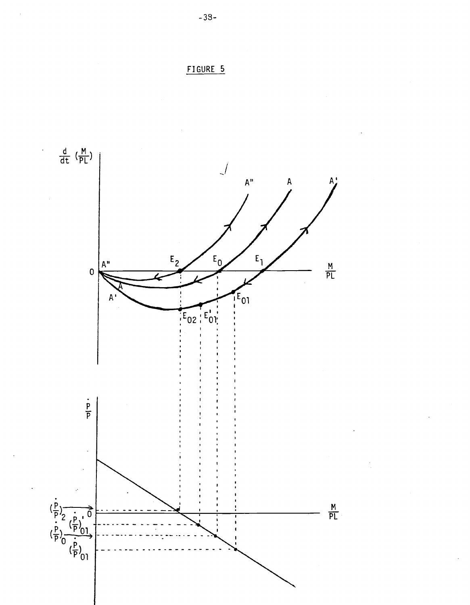

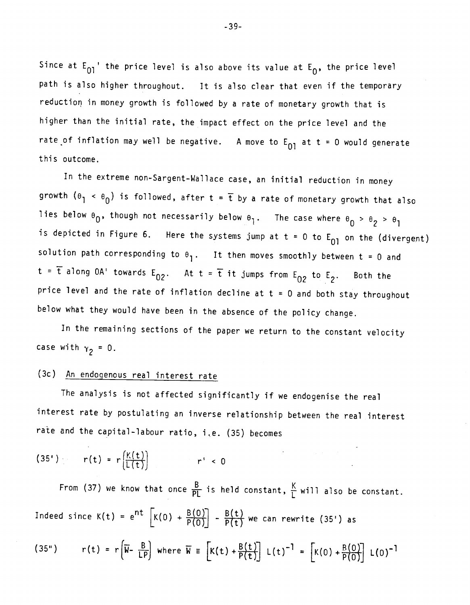Since at  $E_{01}$ ' the price level is also above its value at  $E_{0}$ , the price level path is also higher throughout. It is also clear that even if the temporary reduction in money growth is followed by a rate of monetary growth that is higher than the initial rate, the impact effect on the price level and the rate of inflation may well be negative. A move to  $E_{01}$  at t = 0 would generate this outcome.

In the extreme non-Sargent-Wallace case, an initial reduction in money growth  $(\theta_1 \lt \theta_0)$  is followed, after  $t = \overline{t}$  by a rate of monetary growth that also Thes below  $\theta_0$ , though not necessarily below  $\theta_{\bar{1}}$ . The case where  $\theta_0$  >  $\theta_2$  >  $\theta_{\bar{1}}$ is depicted in Figure 6. Here the systems jump at  $t$  = 0 to  $E_{01}$  on the (divergent) solution path corresponding to  $\bm{\theta}_1$ . It then moves smoothly between  $\bm{t}$  = 0 and  $t = \overline{t}$  along OA' towards  $E_{02}$ . At  $t = \overline{t}$  it jumps from  $E_{02}$  to  $E_2$ . Both the price level and the rate of inflation decline at  $t = 0$  and both stay throughout below what they would have been in the absence of the policy change.

In the remaining sections of the paper we return to the constant velocity case with  $\gamma_2 = 0$ .

# (3c) An endogenous real interest rate

The analysis is not affected significantly if we endogenise the real interest rate by postulating an inverse relationship between the real interest rate and the capital-labour ratio, i.e. (35) becomes

$$
(35') \t\t r(t) = r\left(\frac{K(t)}{L(t)}\right) \t\t r' < 0
$$

From (37) we know that once  $\frac{B}{PL}$  is held constant,  $\frac{K}{L}$  will also be constant. Indeed since K(t) =  $e^{nt}$   $\left[ K(0) + \frac{B(0)}{P(0)} \right]$  -  $\frac{B(t)}{P(t)}$  we can rewrite (35') as (35")  $r(t) = r(\overline{W} - \frac{B}{LP})$  where  $\overline{W} = [K(t) + \frac{B(t)}{P(t)}] L(t)^{-1} = [K(0) + \frac{B(0)}{P(0)}] L(0)^{-1}$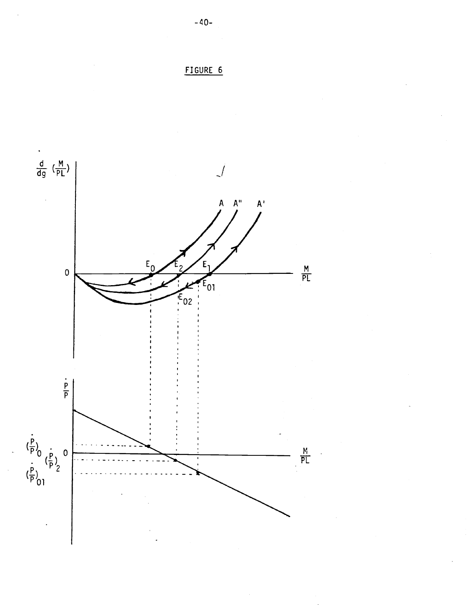



- 40<br>GUR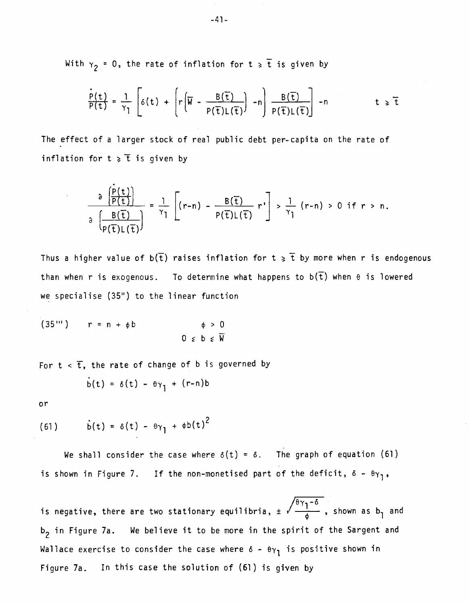With  $\gamma_2 = 0$ , the rate of inflation for  $t \ge \overline{t}$  is given by

$$
\frac{\dot{P}(t)}{P(t)} = \frac{1}{\gamma_1} \left[ \delta(t) + \left( r \left( \overline{W} - \frac{B(\overline{t})}{P(\overline{t})L(\overline{t})} \right) - n \right) \frac{B(\overline{t})}{P(\overline{t})L(\overline{t})} \right] - n \qquad t \geq \overline{t}
$$

The effect of a larger stock of real public debt per-capita on the rate of inflation for  $t \geqslant \overline{t}$  is given by

$$
\frac{\partial \left(\frac{p(t)}{p(t)}\right)}{\partial \left(\frac{B(\overline{t})}{p(\overline{t})L(\overline{t})}\right)} = \frac{1}{\gamma_1} \left[ (r-n) - \frac{B(\overline{t})}{p(\overline{t})L(\overline{t})} r^i \right] > \frac{1}{\gamma_1} (r-n) > 0 \text{ if } r > n.
$$

Thus a higher value of  $b(\overline{t})$  raises inflation for  $t \geq \overline{t}$  by more when r is endogenous than when r is exogenous. To determine what happens to  $b(\bar{t})$  when  $\theta$  is lowered we specialise (35") to the linear function

$$
(35^{\circ\circ}) \qquad r = n + \phi b \qquad \qquad \phi > 0
$$

$$
0 \le b \le \overline{w}
$$

For  $t < \overline{t}$ , the rate of change of b is governed by

$$
\dot{b}(t) = \delta(t) - \theta \gamma_1 + (r-n)b
$$

or

(61) 
$$
\dot{b}(t) = \delta(t) - \theta \gamma_1 + \phi b(t)^2
$$

We shall consider the case where  $\delta(t) = \delta$ . The graph of equation (61) is shown in Figure 7. If the non-monetised part of the deficit,  $\delta - \theta \gamma_1$ ,

is negative, there are two stationary equilibria,  $\pm \sqrt{\frac{\theta\gamma_1-\delta}{\pi}}$  , shown as  $b_1$  and  $b<sub>2</sub>$  in Figure 7a. We believe it to be more in the spirit of the Sargent and Wallace exercise to consider the case where  $\delta - \theta \gamma_1$  is positive shown in Figure 7a. In this case the solution of (61) is given by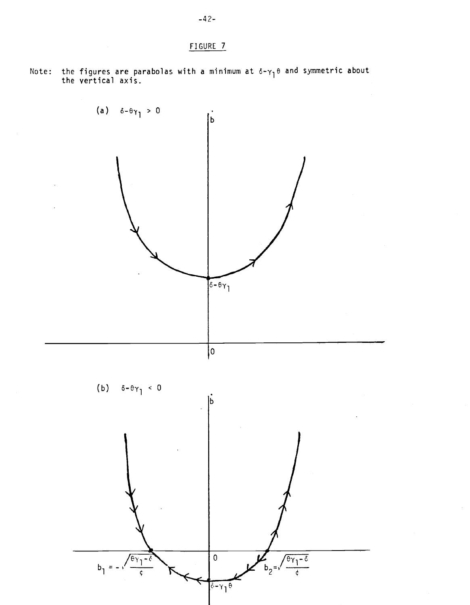# FIGURE 7

Note: the figures are parabolas with a minimum at  $\delta$ - $\gamma_1$ 0 and symmetric about the vertical axis.

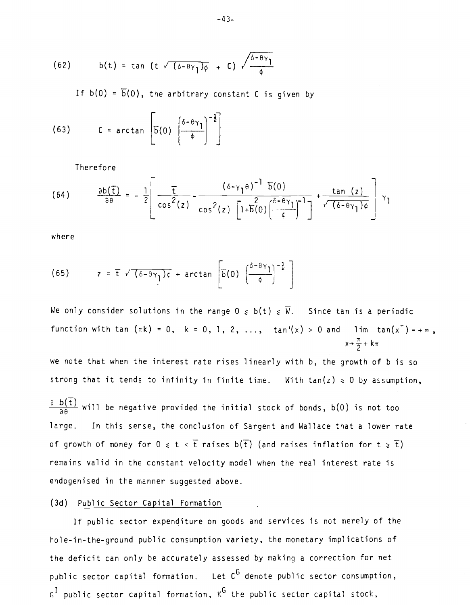(62) b(t) = tan (t 
$$
\sqrt{(\delta - \theta \gamma_1)}\phi + C
$$
)  $\sqrt{\frac{\delta - \theta \gamma_1}{\phi}}$ 

If  $b(0) = \overline{b}(0)$ , the arbitrary constant C is given by

(63) 
$$
C = \arctan \left[\overline{b}(0) \left(\frac{\delta - \theta \gamma_1}{\phi}\right)^{-\frac{1}{2}}\right]
$$

Therefore

(64) 
$$
\frac{\partial b(\overline{t})}{\partial \theta} = -\frac{1}{2} \left[ \frac{\overline{t}}{\cos^2(z)} - \frac{(\delta - \gamma_1 \theta)^{-1} \overline{b}(0)}{\cos^2(z) \left[ 1 + \overline{b}(0) \left( \frac{\delta - \theta \gamma_1}{4} \right)^{-1} \right]} + \frac{\tan(z)}{\sqrt{(\delta - \theta \gamma_1) \phi}} \right] \gamma_1
$$

where

(65) 
$$
z = \overline{t} \sqrt{(\delta - \theta \gamma_1) \zeta} + \arctan \left[\overline{b}(0) \left(\frac{\delta - \theta \gamma_1}{\zeta}\right)^{-\frac{1}{2}}\right]
$$

We only consider solutions in the range  $0 \le b(t) \le \overline{W}$ . Since tan is a periodic function with tan  $(\pi k) = 0$ ,  $k = 0, 1, 2, ..., \tan'(x) > 0$  and  $\lim_{x \to \infty} \tan(x) = +\infty$ ,  $x \rightarrow \frac{\pi}{2} + k\pi$ 

we note that when the interest rate rises linearly with b, the growth of b is so strong that it tends to infinity in finite time. With  $tan(z) > 0$  by assumption,

 $\frac{\partial b(\overline{t})}{\partial A}$  will be negative provided the initial stock of bonds, b(0) is not too large. In this sense, the conclusion of Sargent and Wallace that a lower rate of growth of money for  $0 \le t \le \overline{t}$  raises  $b(\overline{t})$  (and raises inflation for  $t \ge \overline{t}$ ) remains valid in the constant velocity model when the real interest rate is endogenised in the manner suggested above.

### (3d) Public Sector Capital Formation

If public sector expenditure on goods and services is not merely of the hole-in-the-ground public consumption variety, the monetary implications of the deficit can only be accurately assessed by making a correction for net public sector capital formation. Let  $C^G$  denote public sector consumption,  $G^{\rm I}$  public sector capital formation,  $\kappa^{\rm G}$  the public sector capital stock,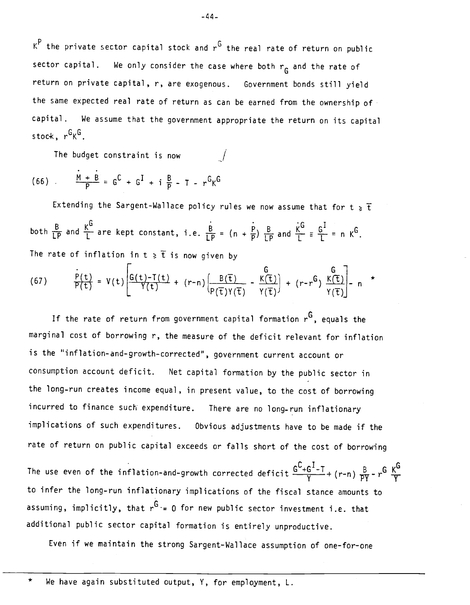$\kappa^P$  the private sector capital stock and  $r^G$  the real rate of return on public sector capital. We only consider the case where both  $r_{G}$  and the rate of return on private capital, r, are exogenous. Government bonds still yield the same expected real rate of return as can be earned from the ownership of capital. We assume that the government appropriate the return on its capital stock,  $r^GK^G$ .

The budget constraint is now

(66) 
$$
\frac{\dot{M} + \dot{B}}{P} = G^{C} + G^{I} + i \frac{B}{P} - T - r^{G}K^{G}
$$

Extending the Sargent-Wallace policy rules we now assume that for  $t \geqslant \overline{t}$ both  $\frac{1}{L}$  and  $\frac{1}{L}$  are kept constant, i.e.  $\frac{p}{l}$  =  $(n + \frac{p}{p})$   $\frac{p}{l}$  and  $\frac{N}{l}$  =  $\frac{6}{l}$  = n K<sup>G</sup>. The rate of inflation in  $t \geqslant \overline{t}$  is now given by

(67) 
$$
\frac{P(t)}{P(t)} = V(t) \left[ \frac{G(t)-T(t)}{Y(t)} + (r-n) \left( \frac{B(\overline{t})}{P(\overline{t})Y(\overline{t})} - \frac{K(\overline{t})}{Y(\overline{t})} \right) + (r-r^{G}) \frac{K(\overline{t})}{Y(\overline{t})} \right] - n
$$

If the rate of return from government capital formation  $r^G$ , equals the marginal cost of borrowing r, the measure of the deficit relevant for inflation is the "inflation-and-growth-corrected", government current account or consumption account deficit. Net capital formation by the public sector in the long-run creates income equal, in present value, to the cost of borrowing incurred to finance such expenditure. There are no long-run inflationary implications of such expenditures. Obvious adjustments have to be made if the rate of return on public capital exceeds or falls short of the cost of borrowing

The use even of the inflation-and-growth corrected deficit  $\frac{G^C+G^I-T}{V}$  + (r-n)  $\frac{B}{DV}$  - r<sup>G</sup>  $\frac{K^G}{V}$ to infer the long-run inflationary implications of the fiscal stance amounts to assuming, implicitly, that  $r^{\tilde{G}}= 0$  for new public sector investment i.e. that additional public sector capital formation is entirely unproductive.

Even if we maintain the strong Sargent-Wallace assumption of one-for-one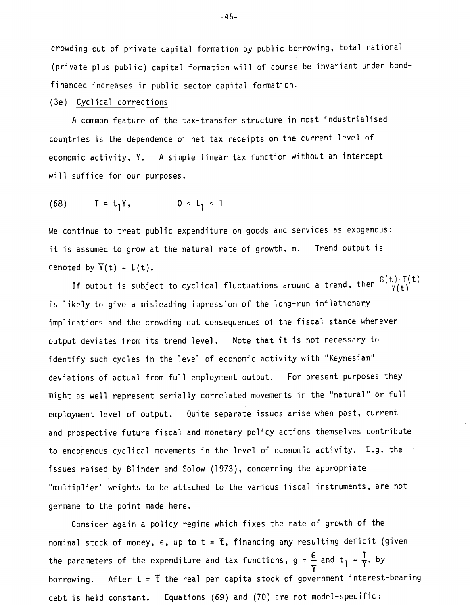crowding out of private capital formation by public borrowing, total national (private plus public) capital formation will of course be invariant under bondfinanced increases in public sector capital formation.

### (3e) Cyclical corrections

A common feature of the tax-transfer structure in most industrialised courtries is the dependence of net tax receipts on the current level of economic activity, Y. A simple linear tax function without an intercept will suffice for our purposes.

(68) 
$$
T = t_1 Y
$$
,  $0 < t_1 < 1$ 

We continue to treat public expenditure on goods and services as exogenous: it is assumed to grow at the natural rate of growth, n. Trend output is denoted by  $\overline{Y}(t) = L(t)$ .

If output is subject to cyclical fluctuations around a trend, then  $\frac{G(t)-T(t)}{Y(t+1)}$ is likely to give a misleading impression of the long-run inflationary implications and the crowding out consequences of the fiscal stance whenever output deviates from its trend level. Note that it is not necessary to identify such cycles in the level of economic activity with "Keynesian" deviations of actual from full employment output. For present purposes they might as well represent serially correlated movements in the "natural" or full employment level of output. Quite separate issues arise when past, current and prospective future fiscal and monetary policy actions themselves contribute to endogenous cyclical movements in the level of economic activity. E.g. the issues raised by Blinder and Solow (1973), concerning the appropriate "multiplier" weights to be attached to the various fiscal instruments, are not germane to the point made here.

Consider again a policy regime which fixes the rate of growth of the nominal stock of money,  $\theta$ , up to  $t = \overline{t}$ , financing any resulting deficit (given the parameters of the expenditure and tax functions,  $g = \frac{G}{\gamma}$  and  $t_1 = \frac{1}{\gamma}$ , by borrowing. After  $t = \bar{t}$  the real per capita stock of government interest-bearing debt is held constant. Equations (69) and (70) are not model—specific: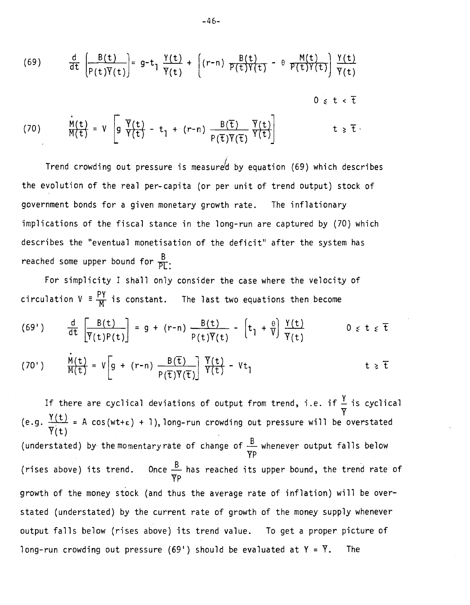(69) 
$$
\frac{d}{dt} \left[ \frac{B(t)}{P(t)\overline{Y}(t)} \right] = g - t_1 \frac{\gamma(t)}{\gamma(t)} + \left[ (r - n) \frac{B(t)}{P(t)\gamma(t)} - \theta \frac{M(t)}{P(t)\gamma(t)} \right] \frac{\gamma(t)}{\gamma(t)}
$$
  
0  $\leq t < \overline{t}$   
(70) 
$$
\frac{\dot{M}(t)}{M(t)} = V \left[ g \frac{\overline{Y}(t)}{\gamma(t)} - t_1 + (r - n) \frac{B(\overline{t})}{P(\overline{t})\overline{Y}(\overline{t})} \frac{\overline{Y}(t)}{\gamma(t)} \right] \qquad t \geq \overline{t}
$$

Trend crowding out pressure is measured by equation  $(69)$  which describes the evolution of the real per-capita (or per unit of trend output) stock of government bonds for a given monetary growth rate. The inflationary implications of the fiscal stance in the long-run are captured by (70) which describes the "eventual monetisation of the deficit" after the system has reached some upper bound for  $\frac{B}{P}$ .

For simplicity I shall only consider the case where the velocity of circulation  $V = \frac{PY}{M}$  is constant. The last two equations then become

(69') 
$$
\frac{d}{dt} \left[ \frac{B(t)}{Y(t)P(t)} \right] = g + (r-n) \frac{B(t)}{P(t)\overline{Y}(t)} - \left[ t_1 + \frac{\theta}{V} \right] \frac{Y(t)}{Y(t)} \qquad 0 \le t \le \overline{t}
$$

(70') 
$$
\frac{M(t)}{M(t)} = V \left[ g + (r-n) \frac{B(\overline{t})}{P(\overline{t}) Y(\overline{t})} \right] \frac{Y(t)}{Y(t)} - Vt_1
$$
 t  $\ge \overline{t}$ 

If there are cyclical deviations of output from trend, i.e. if  $\div$  is cyclical (e.g.  $\frac{Y(t)}{Y(t)}$  = A cos(wt+ $\epsilon$ ) + 1), long-run crowding out pressure will be overstated  $Y(\tau)$ (understated) by the momentary rate of change of  $\stackrel{\mathsf{D}}{=}$  whenever output falls below VP (rises above) its trend.  $\,$  Once  $\stackrel{\bullet}{\--}\,$  has reached its upper bound, the trend rate of VP growth of the money stock (and thus the average rate of inflation) will be overstated (understated) by the current rate of growth of the money supply whenever output falls below (rises above) its trend value. To get a proper picture of long-run crowding out pressure (69') should be evaluated at  $Y = \overline{Y}$ . The

 $P(t)Y(t)$  ''']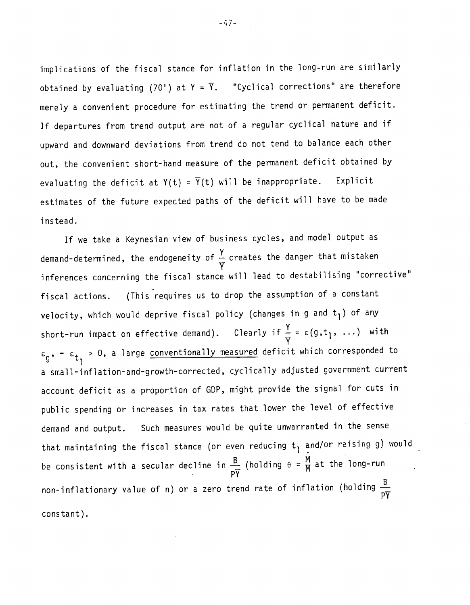implications of the fiscal stance for inflation in the long-run are similarly obtained by evaluating (70') at  $Y = \overline{Y}$ . "Cyclical corrections" are therefore merely a convenient procedure for estimating the trend or permanent deficit. If departures from trend output are not of a regular cyclical nature and if upward and downward deviations from trend do not tend to balance each other out, the convenient short-hand measure of the permanent deficit obtained by evaluating the deficit at  $Y(t) = \overline{Y}(t)$  will be inappropriate. Explicit estimates of the future expected paths of the deficit will have to be made instead.

If we take a Keynesian view of business cycles, and model output as demand-determined, the endogeneity of  $\frac{1}{\omega}$  creates the danger that mistaken **V** inferences concerning the fiscal stance will lead to destabilising "corrective" fiscal actions. (This requires us to drop the assumption of a constant velocity, which would deprive fiscal policy (changes in g and  $t_1$ ) of any short-run impact on effective demand). Clearly if  $\frac{1}{\gamma} = \varepsilon (g, t_1, \ldots)$  with -  $\varepsilon_{+}$   $\;$   $>$  0, a large <u>conventionally measured</u> deficit which corresponded to g  $t_1$ a small-inflation-and-growth-corrected, cyclically adjusted government current account deficit as a proportion of GDP, might provide the signal for cuts in public spending or increases in tax rates that lower the level of effective demand and output. Such measures would be quite unwarranted in the sense that maintaining the fiscal stance (or even reducing  $t_1$  and/or raising g) would be consistent with a secular decline in  $\frac{B}{\sqrt{n}}$  (holding  $\theta = \frac{M}{N}$  at the long-run PY non-inflationary value of n) or a zero trend rate of inflation (nolding  $\frac{1}{\Delta T}$ PY constant).

-47-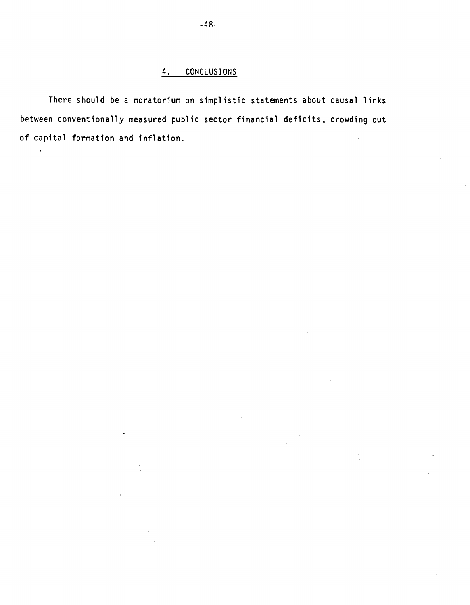## 4. CONCLUSIONS

There should be a moratorium on simplistic statements about causal links between conventionally measured public sector financial deficits, crowding out of capital formation and inflation.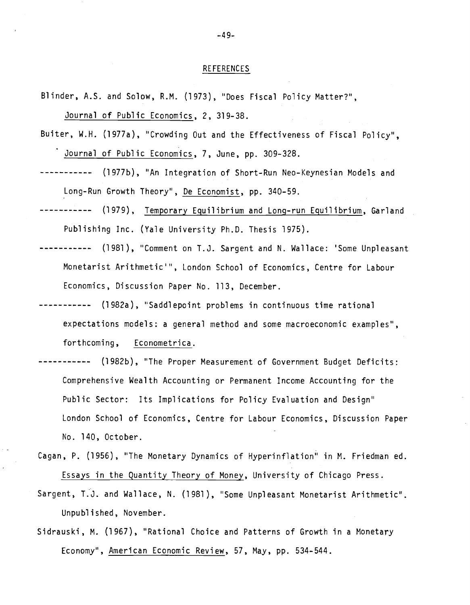### RE FERENCES

Blinder, A.S. and Solow, R.M. (1973), "Does Fiscal Policy Matter?', Journal of Public Economics, 2, 319-38.

Buiter, W.H. (1977a), "Crowding Out and the Effectiveness of Fiscal Policy", Journal of Public Economics, 7, June, pp. 309-328.

---------- (1977b), "An Integration of Short-Run Neo-Keynesian Models and •Long—Run Growth Theory", De Economist, pp. 340—59.

--------- (1979), Temporary E<u>qu</u>ilibrium and <u>Long-run Equilibrium</u>, Garland Publishing Inc. (Yale University Ph.D. Thesis 1975).

.-------- (1981), "Comment on T.J. Sargent and N. Wallace: 'Some Unpleasant Monetarist Arithmetic'", London School of Economics, Centre for Labour Economics, Discussion Paper No. 113, December.

- ---------- (1982a), "Saddlepoint problems in continuous time rational expectations models: a general method and some macroeconomic examples", forthcoming, Econometrica.
- --------- (1982b), "The Proper Measurement of Government Budget Deficits: Comprehensive Wealth Accounting or Permanent Income Accounting for the Public Sector: Its Implications for Policy Evaluation and Design" London School of Economics, Centre for Labour Economics, Discussion Paper No. 140, October.
- Cagan, P. (1956), "The Monetary Dynamics of Hyperinflation" in M. Friedman ed. Essays in the Quantity Theory of Money, University of Chicago Press.
- Sargent, T.J. and Wallace, N. (1981), "Some Unpleasant Monetarist Arithmetic". Unpublished, November.
- Sidrauski, M. (1967), "Rational Choice and Patterns of Growth in a Monetary Economy", American Economic Review, 57, May, pp. 534-544.